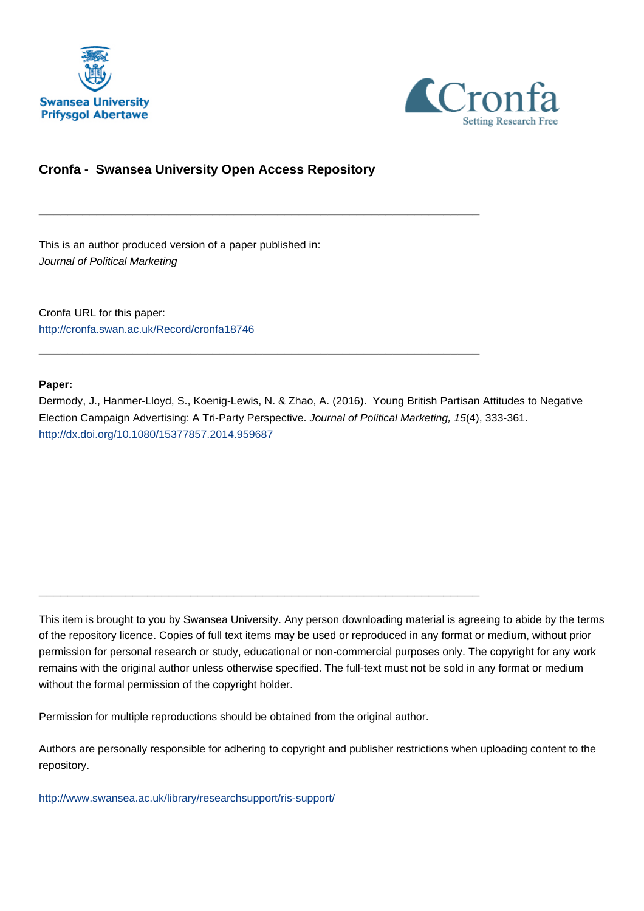



# **Cronfa - Swansea University Open Access Repository**

\_\_\_\_\_\_\_\_\_\_\_\_\_\_\_\_\_\_\_\_\_\_\_\_\_\_\_\_\_\_\_\_\_\_\_\_\_\_\_\_\_\_\_\_\_\_\_\_\_\_\_\_\_\_\_\_\_\_\_\_\_

\_\_\_\_\_\_\_\_\_\_\_\_\_\_\_\_\_\_\_\_\_\_\_\_\_\_\_\_\_\_\_\_\_\_\_\_\_\_\_\_\_\_\_\_\_\_\_\_\_\_\_\_\_\_\_\_\_\_\_\_\_

\_\_\_\_\_\_\_\_\_\_\_\_\_\_\_\_\_\_\_\_\_\_\_\_\_\_\_\_\_\_\_\_\_\_\_\_\_\_\_\_\_\_\_\_\_\_\_\_\_\_\_\_\_\_\_\_\_\_\_\_\_

This is an author produced version of a paper published in: Journal of Political Marketing

Cronfa URL for this paper: <http://cronfa.swan.ac.uk/Record/cronfa18746>

#### **Paper:**

Dermody, J., Hanmer-Lloyd, S., Koenig-Lewis, N. & Zhao, A. (2016). Young British Partisan Attitudes to Negative Election Campaign Advertising: A Tri-Party Perspective. Journal of Political Marketing, 15(4), 333-361. <http://dx.doi.org/10.1080/15377857.2014.959687>

This item is brought to you by Swansea University. Any person downloading material is agreeing to abide by the terms of the repository licence. Copies of full text items may be used or reproduced in any format or medium, without prior permission for personal research or study, educational or non-commercial purposes only. The copyright for any work remains with the original author unless otherwise specified. The full-text must not be sold in any format or medium without the formal permission of the copyright holder.

Permission for multiple reproductions should be obtained from the original author.

Authors are personally responsible for adhering to copyright and publisher restrictions when uploading content to the repository.

[http://www.swansea.ac.uk/library/researchsupport/ris-support/](http://www.swansea.ac.uk/library/researchsupport/ris-support/ )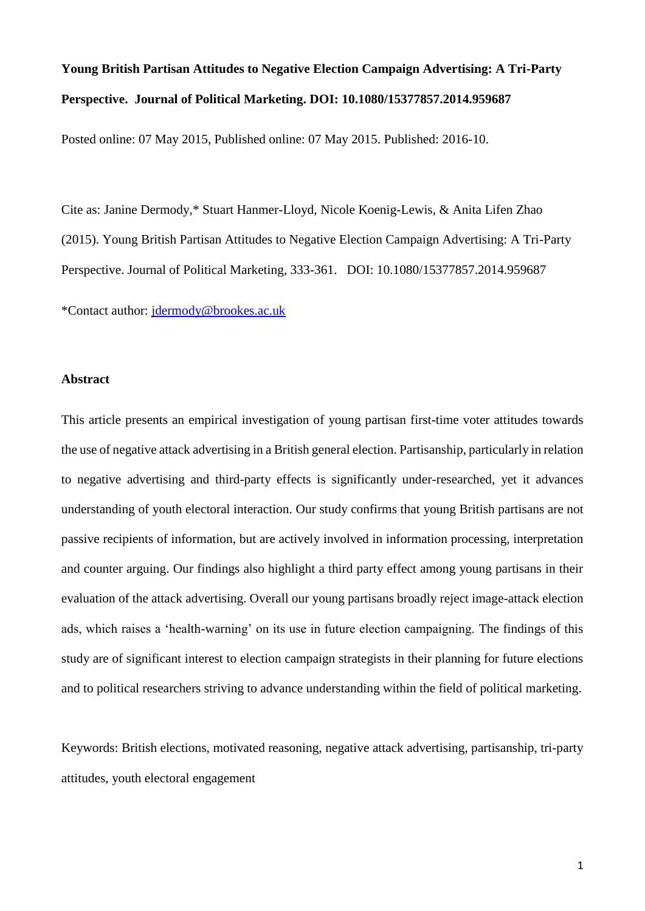# **Young British Partisan Attitudes to Negative Election Campaign Advertising: A Tri-Party Perspective. Journal of Political Marketing. DOI: 10.1080/15377857.2014.959687**

Posted online: 07 May 2015, Published online: 07 May 2015. Published: 2016-10.

Cite as: Janine Dermody,\* Stuart Hanmer-Lloyd, Nicole Koenig-Lewis, & Anita Lifen Zhao (2015). Young British Partisan Attitudes to Negative Election Campaign Advertising: A Tri-Party Perspective. Journal of Political Marketing, 333-361. DOI: 10.1080/15377857.2014.959687

\*Contact author: jdermody@brookes.ac.uk

## **Abstract**

This article presents an empirical investigation of young partisan first-time voter attitudes towards the use of negative attack advertising in a British general election. Partisanship, particularly in relation to negative advertising and third-party effects is significantly under-researched, yet it advances understanding of youth electoral interaction. Our study confirms that young British partisans are not passive recipients of information, but are actively involved in information processing, interpretation and counter arguing. Our findings also highlight a third party effect among young partisans in their evaluation of the attack advertising. Overall our young partisans broadly reject image-attack election ads, which raises a 'health-warning' on its use in future election campaigning. The findings of this study are of significant interest to election campaign strategists in their planning for future elections and to political researchers striving to advance understanding within the field of political marketing.

Keywords: British elections, motivated reasoning, negative attack advertising, partisanship, tri-party attitudes, youth electoral engagement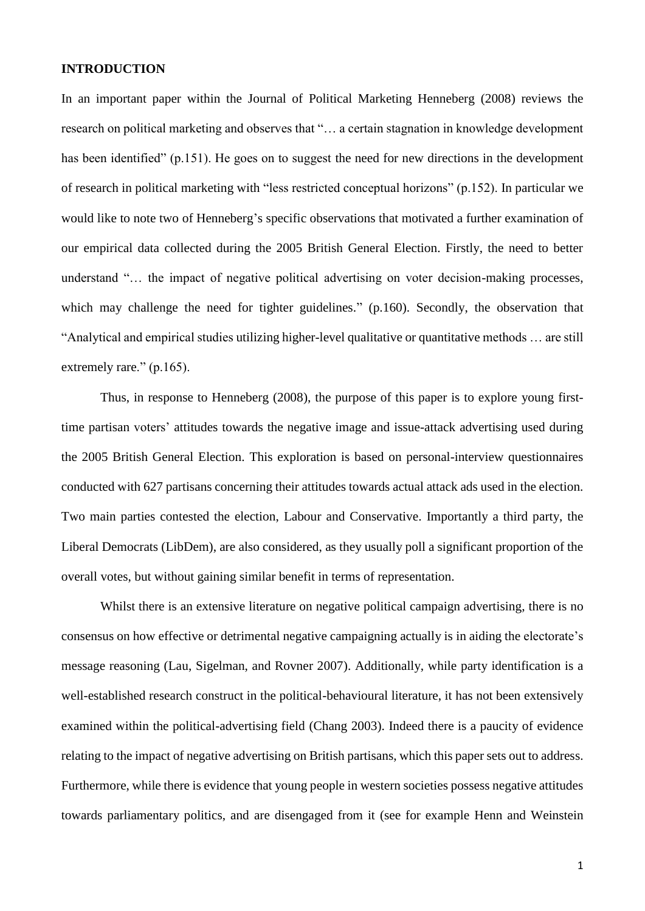## **INTRODUCTION**

In an important paper within the Journal of Political Marketing Henneberg (2008) reviews the research on political marketing and observes that "… a certain stagnation in knowledge development has been identified" (p.151). He goes on to suggest the need for new directions in the development of research in political marketing with "less restricted conceptual horizons" (p.152). In particular we would like to note two of Henneberg's specific observations that motivated a further examination of our empirical data collected during the 2005 British General Election. Firstly, the need to better understand "… the impact of negative political advertising on voter decision-making processes, which may challenge the need for tighter guidelines." (p.160). Secondly, the observation that "Analytical and empirical studies utilizing higher-level qualitative or quantitative methods … are still extremely rare." (p.165).

Thus, in response to Henneberg (2008), the purpose of this paper is to explore young firsttime partisan voters' attitudes towards the negative image and issue-attack advertising used during the 2005 British General Election. This exploration is based on personal-interview questionnaires conducted with 627 partisans concerning their attitudes towards actual attack ads used in the election. Two main parties contested the election, Labour and Conservative. Importantly a third party, the Liberal Democrats (LibDem), are also considered, as they usually poll a significant proportion of the overall votes, but without gaining similar benefit in terms of representation.

Whilst there is an extensive literature on negative political campaign advertising, there is no consensus on how effective or detrimental negative campaigning actually is in aiding the electorate's message reasoning (Lau, Sigelman, and Rovner 2007). Additionally, while party identification is a well-established research construct in the political-behavioural literature, it has not been extensively examined within the political-advertising field (Chang 2003). Indeed there is a paucity of evidence relating to the impact of negative advertising on British partisans, which this paper sets out to address. Furthermore, while there is evidence that young people in western societies possess negative attitudes towards parliamentary politics, and are disengaged from it (see for example Henn and Weinstein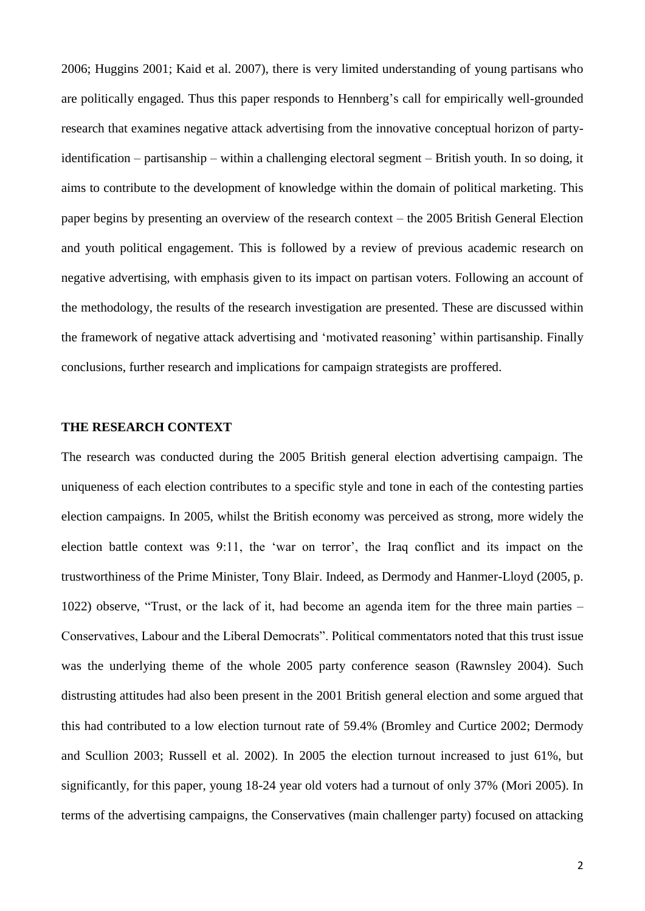2006; Huggins 2001; Kaid et al. 2007), there is very limited understanding of young partisans who are politically engaged. Thus this paper responds to Hennberg's call for empirically well-grounded research that examines negative attack advertising from the innovative conceptual horizon of partyidentification – partisanship – within a challenging electoral segment – British youth. In so doing, it aims to contribute to the development of knowledge within the domain of political marketing. This paper begins by presenting an overview of the research context – the 2005 British General Election and youth political engagement. This is followed by a review of previous academic research on negative advertising, with emphasis given to its impact on partisan voters. Following an account of the methodology, the results of the research investigation are presented. These are discussed within the framework of negative attack advertising and 'motivated reasoning' within partisanship. Finally conclusions, further research and implications for campaign strategists are proffered.

## **THE RESEARCH CONTEXT**

The research was conducted during the 2005 British general election advertising campaign. The uniqueness of each election contributes to a specific style and tone in each of the contesting parties election campaigns. In 2005, whilst the British economy was perceived as strong, more widely the election battle context was 9:11, the 'war on terror', the Iraq conflict and its impact on the trustworthiness of the Prime Minister, Tony Blair. Indeed, as Dermody and Hanmer-Lloyd (2005, p. 1022) observe, "Trust, or the lack of it, had become an agenda item for the three main parties – Conservatives, Labour and the Liberal Democrats". Political commentators noted that this trust issue was the underlying theme of the whole 2005 party conference season (Rawnsley 2004). Such distrusting attitudes had also been present in the 2001 British general election and some argued that this had contributed to a low election turnout rate of 59.4% (Bromley and Curtice 2002; Dermody and Scullion 2003; Russell et al. 2002). In 2005 the election turnout increased to just 61%, but significantly, for this paper, young 18-24 year old voters had a turnout of only 37% (Mori 2005). In terms of the advertising campaigns, the Conservatives (main challenger party) focused on attacking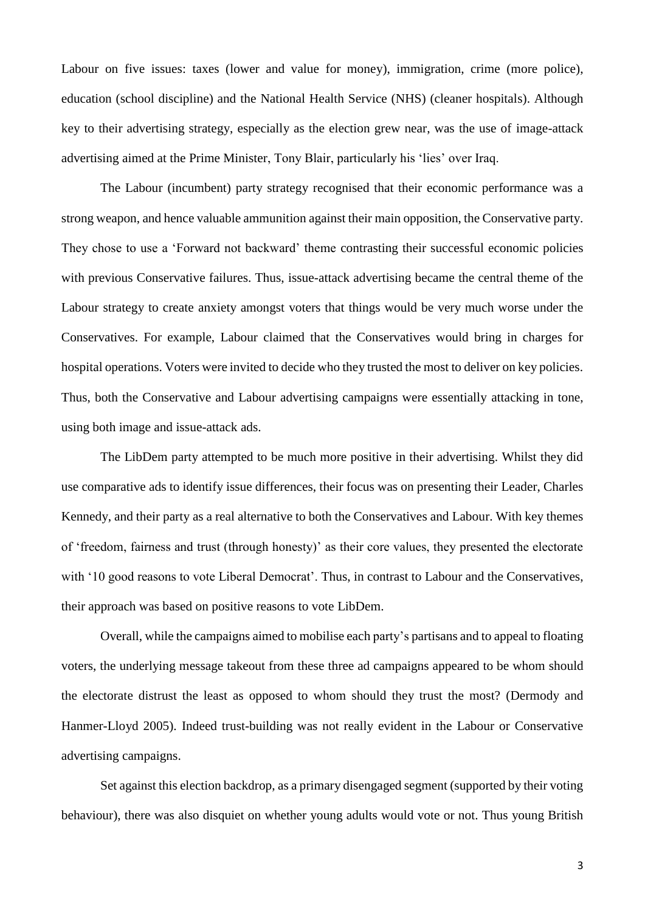Labour on five issues: taxes (lower and value for money), immigration, crime (more police), education (school discipline) and the National Health Service (NHS) (cleaner hospitals). Although key to their advertising strategy, especially as the election grew near, was the use of image-attack advertising aimed at the Prime Minister, Tony Blair, particularly his 'lies' over Iraq.

The Labour (incumbent) party strategy recognised that their economic performance was a strong weapon, and hence valuable ammunition against their main opposition, the Conservative party. They chose to use a 'Forward not backward' theme contrasting their successful economic policies with previous Conservative failures. Thus, issue-attack advertising became the central theme of the Labour strategy to create anxiety amongst voters that things would be very much worse under the Conservatives. For example, Labour claimed that the Conservatives would bring in charges for hospital operations. Voters were invited to decide who they trusted the most to deliver on key policies. Thus, both the Conservative and Labour advertising campaigns were essentially attacking in tone, using both image and issue-attack ads.

The LibDem party attempted to be much more positive in their advertising. Whilst they did use comparative ads to identify issue differences, their focus was on presenting their Leader, Charles Kennedy, and their party as a real alternative to both the Conservatives and Labour. With key themes of 'freedom, fairness and trust (through honesty)' as their core values, they presented the electorate with '10 good reasons to vote Liberal Democrat'. Thus, in contrast to Labour and the Conservatives, their approach was based on positive reasons to vote LibDem.

Overall, while the campaigns aimed to mobilise each party's partisans and to appeal to floating voters, the underlying message takeout from these three ad campaigns appeared to be whom should the electorate distrust the least as opposed to whom should they trust the most? (Dermody and Hanmer-Lloyd 2005). Indeed trust-building was not really evident in the Labour or Conservative advertising campaigns.

Set against this election backdrop, as a primary disengaged segment (supported by their voting behaviour), there was also disquiet on whether young adults would vote or not. Thus young British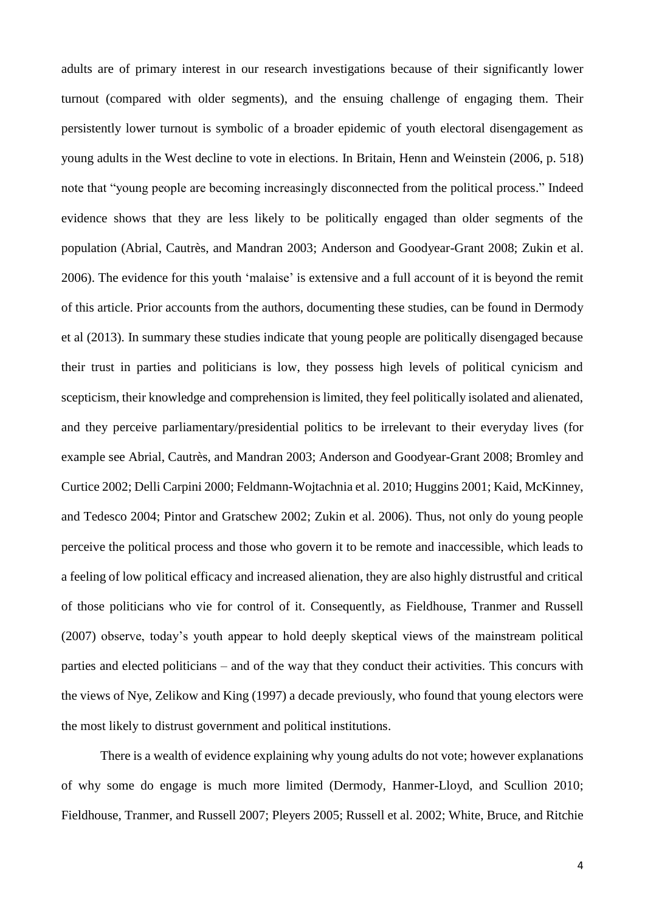adults are of primary interest in our research investigations because of their significantly lower turnout (compared with older segments), and the ensuing challenge of engaging them. Their persistently lower turnout is symbolic of a broader epidemic of youth electoral disengagement as young adults in the West decline to vote in elections. In Britain, Henn and Weinstein (2006, p. 518) note that "young people are becoming increasingly disconnected from the political process." Indeed evidence shows that they are less likely to be politically engaged than older segments of the population (Abrial, Cautrès, and Mandran 2003; Anderson and Goodyear-Grant 2008; Zukin et al. 2006). The evidence for this youth 'malaise' is extensive and a full account of it is beyond the remit of this article. Prior accounts from the authors, documenting these studies, can be found in Dermody et al (2013). In summary these studies indicate that young people are politically disengaged because their trust in parties and politicians is low, they possess high levels of political cynicism and scepticism, their knowledge and comprehension is limited, they feel politically isolated and alienated, and they perceive parliamentary/presidential politics to be irrelevant to their everyday lives (for example see Abrial, Cautrès, and Mandran 2003; Anderson and Goodyear-Grant 2008; Bromley and Curtice 2002; Delli Carpini 2000; Feldmann-Wojtachnia et al. 2010; Huggins 2001; Kaid, McKinney, and Tedesco 2004; Pintor and Gratschew 2002; Zukin et al. 2006). Thus, not only do young people perceive the political process and those who govern it to be remote and inaccessible, which leads to a feeling of low political efficacy and increased alienation, they are also highly distrustful and critical of those politicians who vie for control of it. Consequently, as Fieldhouse, Tranmer and Russell (2007) observe, today's youth appear to hold deeply skeptical views of the mainstream political parties and elected politicians – and of the way that they conduct their activities. This concurs with the views of Nye, Zelikow and King (1997) a decade previously, who found that young electors were the most likely to distrust government and political institutions.

There is a wealth of evidence explaining why young adults do not vote; however explanations of why some do engage is much more limited (Dermody, Hanmer-Lloyd, and Scullion 2010; Fieldhouse, Tranmer, and Russell 2007; Pleyers 2005; Russell et al. 2002; White, Bruce, and Ritchie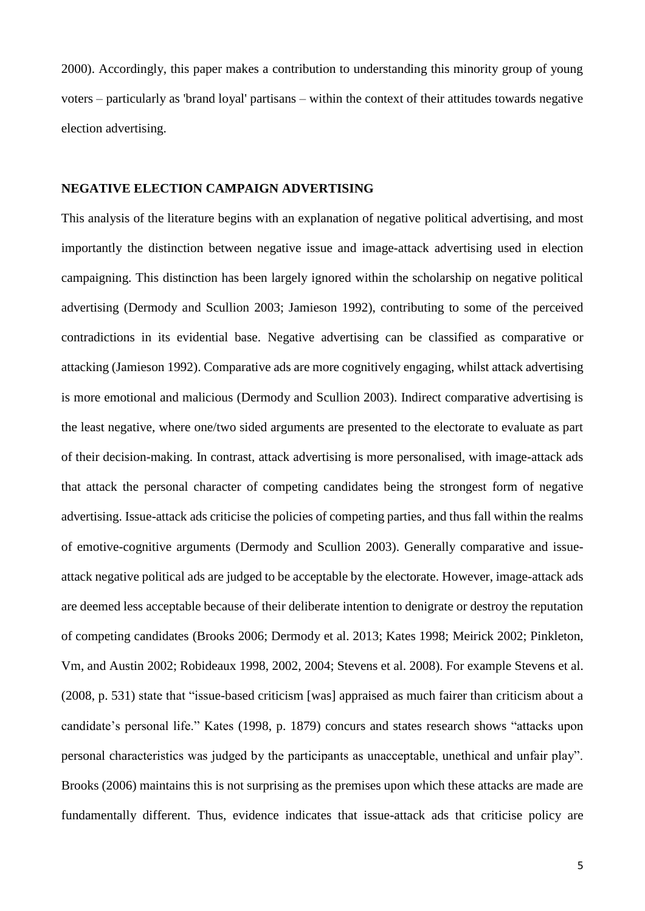2000). Accordingly, this paper makes a contribution to understanding this minority group of young voters – particularly as 'brand loyal' partisans – within the context of their attitudes towards negative election advertising.

## **NEGATIVE ELECTION CAMPAIGN ADVERTISING**

This analysis of the literature begins with an explanation of negative political advertising, and most importantly the distinction between negative issue and image-attack advertising used in election campaigning. This distinction has been largely ignored within the scholarship on negative political advertising (Dermody and Scullion 2003; Jamieson 1992), contributing to some of the perceived contradictions in its evidential base. Negative advertising can be classified as comparative or attacking (Jamieson 1992). Comparative ads are more cognitively engaging, whilst attack advertising is more emotional and malicious (Dermody and Scullion 2003). Indirect comparative advertising is the least negative, where one/two sided arguments are presented to the electorate to evaluate as part of their decision-making. In contrast, attack advertising is more personalised, with image-attack ads that attack the personal character of competing candidates being the strongest form of negative advertising. Issue-attack ads criticise the policies of competing parties, and thus fall within the realms of emotive-cognitive arguments (Dermody and Scullion 2003). Generally comparative and issueattack negative political ads are judged to be acceptable by the electorate. However, image-attack ads are deemed less acceptable because of their deliberate intention to denigrate or destroy the reputation of competing candidates (Brooks 2006; Dermody et al. 2013; Kates 1998; Meirick 2002; Pinkleton, Vm, and Austin 2002; Robideaux 1998, 2002, 2004; Stevens et al. 2008). For example Stevens et al. (2008, p. 531) state that "issue-based criticism [was] appraised as much fairer than criticism about a candidate's personal life." Kates (1998, p. 1879) concurs and states research shows "attacks upon personal characteristics was judged by the participants as unacceptable, unethical and unfair play". Brooks (2006) maintains this is not surprising as the premises upon which these attacks are made are fundamentally different. Thus, evidence indicates that issue-attack ads that criticise policy are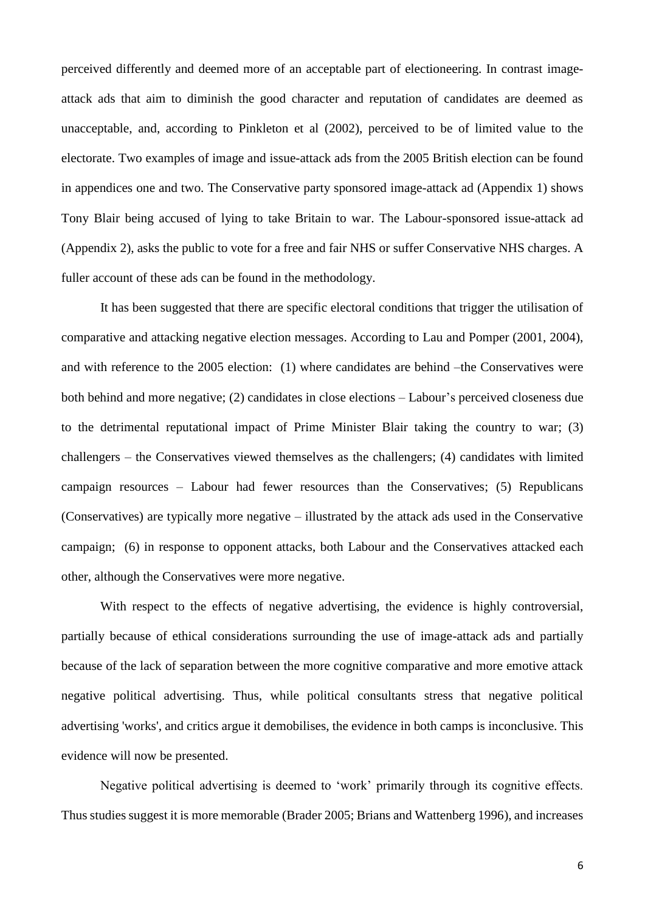perceived differently and deemed more of an acceptable part of electioneering. In contrast imageattack ads that aim to diminish the good character and reputation of candidates are deemed as unacceptable, and, according to Pinkleton et al (2002), perceived to be of limited value to the electorate. Two examples of image and issue-attack ads from the 2005 British election can be found in appendices one and two. The Conservative party sponsored image-attack ad (Appendix 1) shows Tony Blair being accused of lying to take Britain to war. The Labour-sponsored issue-attack ad (Appendix 2), asks the public to vote for a free and fair NHS or suffer Conservative NHS charges. A fuller account of these ads can be found in the methodology.

It has been suggested that there are specific electoral conditions that trigger the utilisation of comparative and attacking negative election messages. According to Lau and Pomper (2001, 2004), and with reference to the 2005 election: (1) where candidates are behind –the Conservatives were both behind and more negative; (2) candidates in close elections – Labour's perceived closeness due to the detrimental reputational impact of Prime Minister Blair taking the country to war; (3) challengers – the Conservatives viewed themselves as the challengers; (4) candidates with limited campaign resources – Labour had fewer resources than the Conservatives; (5) Republicans (Conservatives) are typically more negative – illustrated by the attack ads used in the Conservative campaign; (6) in response to opponent attacks, both Labour and the Conservatives attacked each other, although the Conservatives were more negative.

With respect to the effects of negative advertising, the evidence is highly controversial, partially because of ethical considerations surrounding the use of image-attack ads and partially because of the lack of separation between the more cognitive comparative and more emotive attack negative political advertising. Thus, while political consultants stress that negative political advertising 'works', and critics argue it demobilises, the evidence in both camps is inconclusive. This evidence will now be presented.

Negative political advertising is deemed to 'work' primarily through its cognitive effects. Thus studies suggest it is more memorable (Brader 2005; Brians and Wattenberg 1996), and increases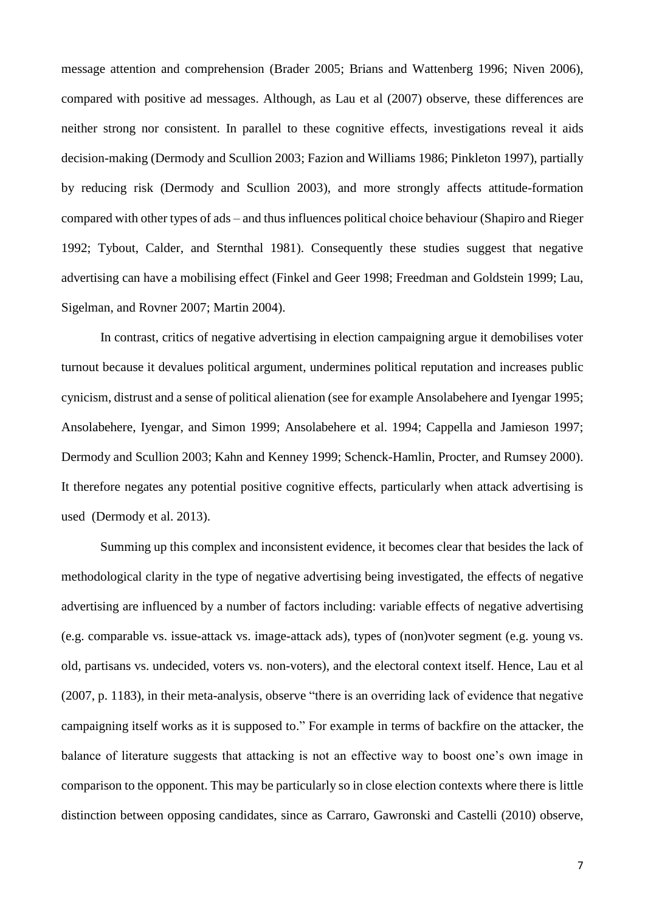message attention and comprehension (Brader 2005; Brians and Wattenberg 1996; Niven 2006), compared with positive ad messages. Although, as Lau et al (2007) observe, these differences are neither strong nor consistent. In parallel to these cognitive effects, investigations reveal it aids decision-making (Dermody and Scullion 2003; Fazion and Williams 1986; Pinkleton 1997), partially by reducing risk (Dermody and Scullion 2003), and more strongly affects attitude-formation compared with other types of ads – and thus influences political choice behaviour (Shapiro and Rieger 1992; Tybout, Calder, and Sternthal 1981). Consequently these studies suggest that negative advertising can have a mobilising effect (Finkel and Geer 1998; Freedman and Goldstein 1999; Lau, Sigelman, and Rovner 2007; Martin 2004).

In contrast, critics of negative advertising in election campaigning argue it demobilises voter turnout because it devalues political argument, undermines political reputation and increases public cynicism, distrust and a sense of political alienation (see for example Ansolabehere and Iyengar 1995; Ansolabehere, Iyengar, and Simon 1999; Ansolabehere et al. 1994; Cappella and Jamieson 1997; Dermody and Scullion 2003; Kahn and Kenney 1999; Schenck-Hamlin, Procter, and Rumsey 2000). It therefore negates any potential positive cognitive effects, particularly when attack advertising is used (Dermody et al. 2013).

Summing up this complex and inconsistent evidence, it becomes clear that besides the lack of methodological clarity in the type of negative advertising being investigated, the effects of negative advertising are influenced by a number of factors including: variable effects of negative advertising (e.g. comparable vs. issue-attack vs. image-attack ads), types of (non)voter segment (e.g. young vs. old, partisans vs. undecided, voters vs. non-voters), and the electoral context itself. Hence, Lau et al (2007, p. 1183), in their meta-analysis, observe "there is an overriding lack of evidence that negative campaigning itself works as it is supposed to." For example in terms of backfire on the attacker, the balance of literature suggests that attacking is not an effective way to boost one's own image in comparison to the opponent. This may be particularly so in close election contexts where there is little distinction between opposing candidates, since as Carraro, Gawronski and Castelli (2010) observe,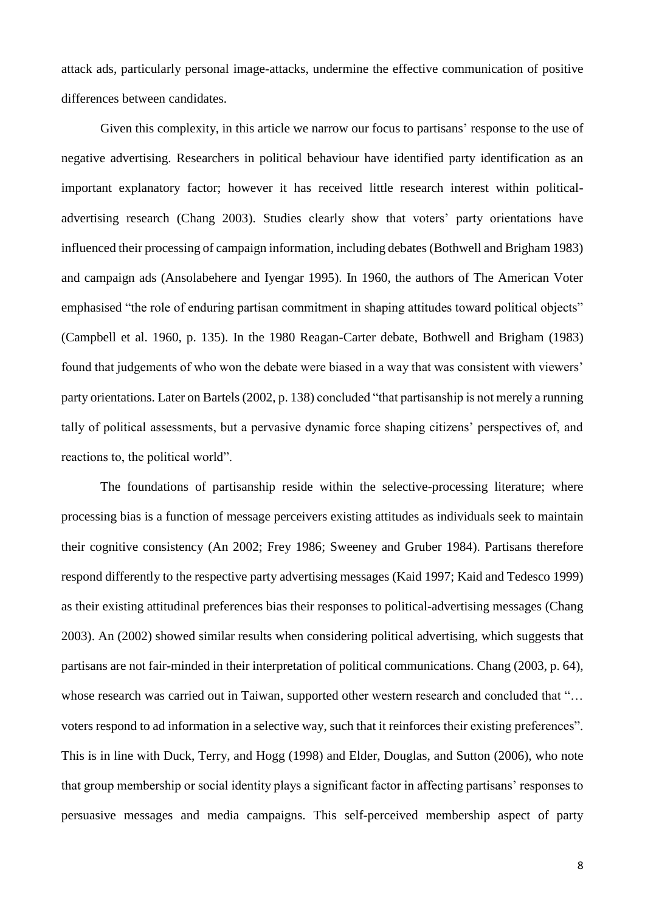attack ads, particularly personal image-attacks, undermine the effective communication of positive differences between candidates.

Given this complexity, in this article we narrow our focus to partisans' response to the use of negative advertising. Researchers in political behaviour have identified party identification as an important explanatory factor; however it has received little research interest within politicaladvertising research (Chang 2003). Studies clearly show that voters' party orientations have influenced their processing of campaign information, including debates (Bothwell and Brigham 1983) and campaign ads (Ansolabehere and Iyengar 1995). In 1960, the authors of The American Voter emphasised "the role of enduring partisan commitment in shaping attitudes toward political objects" (Campbell et al. 1960, p. 135). In the 1980 Reagan-Carter debate, Bothwell and Brigham (1983) found that judgements of who won the debate were biased in a way that was consistent with viewers' party orientations. Later on Bartels (2002, p. 138) concluded "that partisanship is not merely a running tally of political assessments, but a pervasive dynamic force shaping citizens' perspectives of, and reactions to, the political world".

The foundations of partisanship reside within the selective-processing literature; where processing bias is a function of message perceivers existing attitudes as individuals seek to maintain their cognitive consistency (An 2002; Frey 1986; Sweeney and Gruber 1984). Partisans therefore respond differently to the respective party advertising messages (Kaid 1997; Kaid and Tedesco 1999) as their existing attitudinal preferences bias their responses to political-advertising messages (Chang 2003). An (2002) showed similar results when considering political advertising, which suggests that partisans are not fair-minded in their interpretation of political communications. Chang (2003, p. 64), whose research was carried out in Taiwan, supported other western research and concluded that "... voters respond to ad information in a selective way, such that it reinforces their existing preferences". This is in line with Duck, Terry, and Hogg (1998) and Elder, Douglas, and Sutton (2006), who note that group membership or social identity plays a significant factor in affecting partisans' responses to persuasive messages and media campaigns. This self-perceived membership aspect of party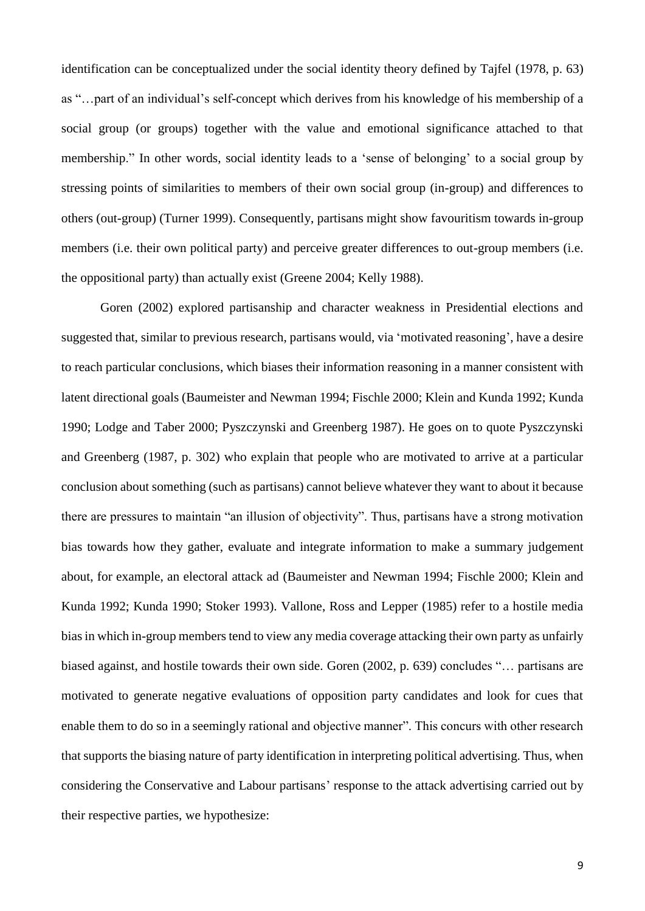identification can be conceptualized under the social identity theory defined by Tajfel (1978, p. 63) as "…part of an individual's self-concept which derives from his knowledge of his membership of a social group (or groups) together with the value and emotional significance attached to that membership." In other words, social identity leads to a 'sense of belonging' to a social group by stressing points of similarities to members of their own social group (in-group) and differences to others (out-group) (Turner 1999). Consequently, partisans might show favouritism towards in-group members (i.e. their own political party) and perceive greater differences to out-group members (i.e. the oppositional party) than actually exist (Greene 2004; Kelly 1988).

Goren (2002) explored partisanship and character weakness in Presidential elections and suggested that, similar to previous research, partisans would, via 'motivated reasoning', have a desire to reach particular conclusions, which biases their information reasoning in a manner consistent with latent directional goals (Baumeister and Newman 1994; Fischle 2000; Klein and Kunda 1992; Kunda 1990; Lodge and Taber 2000; Pyszczynski and Greenberg 1987). He goes on to quote Pyszczynski and Greenberg (1987, p. 302) who explain that people who are motivated to arrive at a particular conclusion about something (such as partisans) cannot believe whatever they want to about it because there are pressures to maintain "an illusion of objectivity". Thus, partisans have a strong motivation bias towards how they gather, evaluate and integrate information to make a summary judgement about, for example, an electoral attack ad (Baumeister and Newman 1994; Fischle 2000; Klein and Kunda 1992; Kunda 1990; Stoker 1993). Vallone, Ross and Lepper (1985) refer to a hostile media bias in which in-group members tend to view any media coverage attacking their own party as unfairly biased against, and hostile towards their own side. Goren (2002, p. 639) concludes "… partisans are motivated to generate negative evaluations of opposition party candidates and look for cues that enable them to do so in a seemingly rational and objective manner". This concurs with other research that supports the biasing nature of party identification in interpreting political advertising. Thus, when considering the Conservative and Labour partisans' response to the attack advertising carried out by their respective parties, we hypothesize: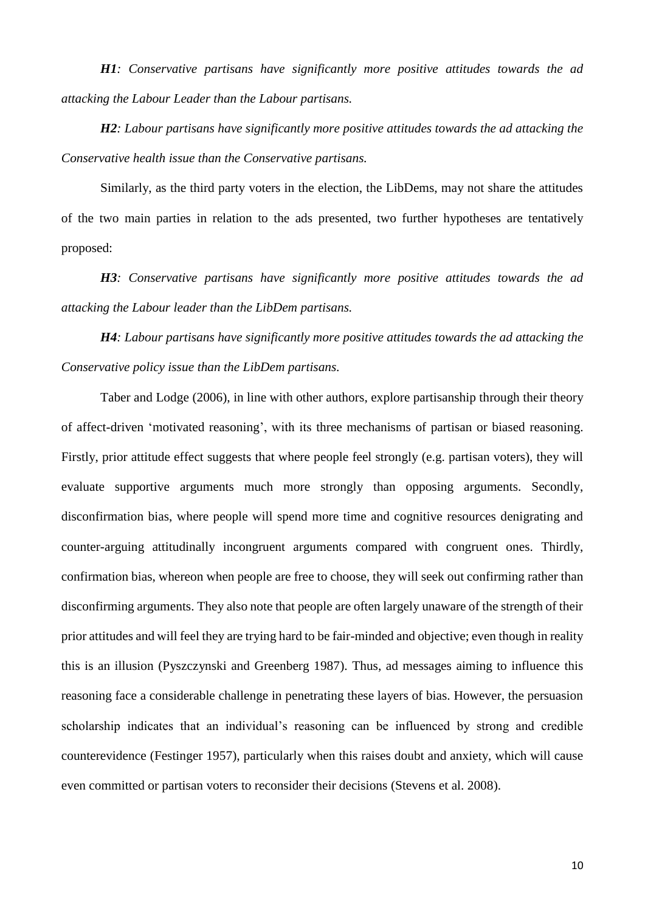*H1: Conservative partisans have significantly more positive attitudes towards the ad attacking the Labour Leader than the Labour partisans.* 

*H2: Labour partisans have significantly more positive attitudes towards the ad attacking the Conservative health issue than the Conservative partisans.*

Similarly, as the third party voters in the election, the LibDems, may not share the attitudes of the two main parties in relation to the ads presented, two further hypotheses are tentatively proposed:

*H3: Conservative partisans have significantly more positive attitudes towards the ad attacking the Labour leader than the LibDem partisans.* 

*H4: Labour partisans have significantly more positive attitudes towards the ad attacking the Conservative policy issue than the LibDem partisans.*

Taber and Lodge (2006), in line with other authors, explore partisanship through their theory of affect-driven 'motivated reasoning', with its three mechanisms of partisan or biased reasoning. Firstly, prior attitude effect suggests that where people feel strongly (e.g. partisan voters), they will evaluate supportive arguments much more strongly than opposing arguments. Secondly, disconfirmation bias, where people will spend more time and cognitive resources denigrating and counter-arguing attitudinally incongruent arguments compared with congruent ones. Thirdly, confirmation bias, whereon when people are free to choose, they will seek out confirming rather than disconfirming arguments. They also note that people are often largely unaware of the strength of their prior attitudes and will feel they are trying hard to be fair-minded and objective; even though in reality this is an illusion (Pyszczynski and Greenberg 1987). Thus, ad messages aiming to influence this reasoning face a considerable challenge in penetrating these layers of bias. However, the persuasion scholarship indicates that an individual's reasoning can be influenced by strong and credible counterevidence (Festinger 1957), particularly when this raises doubt and anxiety, which will cause even committed or partisan voters to reconsider their decisions (Stevens et al. 2008).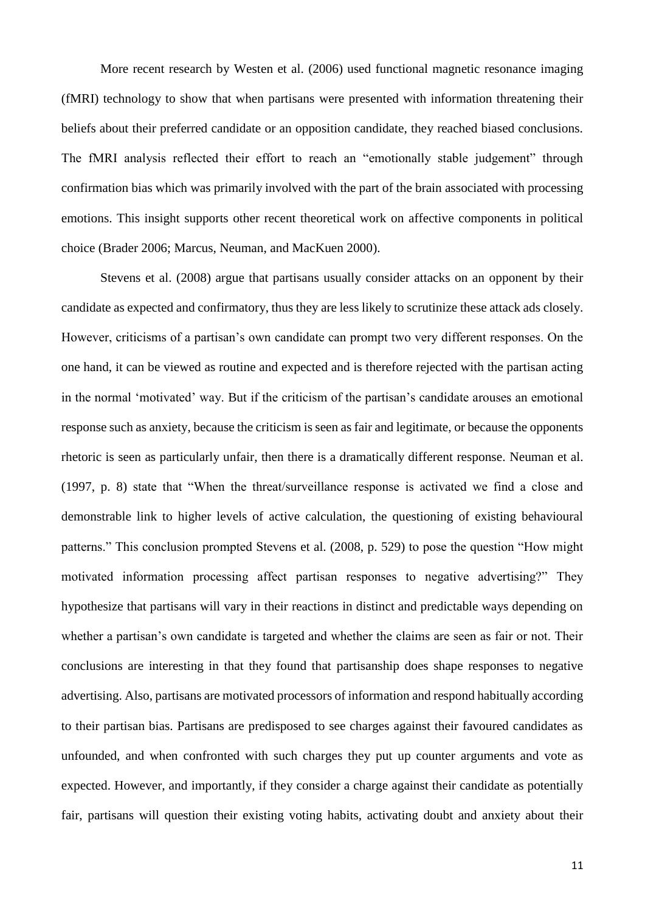More recent research by Westen et al. (2006) used functional magnetic resonance imaging (fMRI) technology to show that when partisans were presented with information threatening their beliefs about their preferred candidate or an opposition candidate, they reached biased conclusions. The fMRI analysis reflected their effort to reach an "emotionally stable judgement" through confirmation bias which was primarily involved with the part of the brain associated with processing emotions. This insight supports other recent theoretical work on affective components in political choice (Brader 2006; Marcus, Neuman, and MacKuen 2000).

Stevens et al. (2008) argue that partisans usually consider attacks on an opponent by their candidate as expected and confirmatory, thus they are less likely to scrutinize these attack ads closely. However, criticisms of a partisan's own candidate can prompt two very different responses. On the one hand, it can be viewed as routine and expected and is therefore rejected with the partisan acting in the normal 'motivated' way. But if the criticism of the partisan's candidate arouses an emotional response such as anxiety, because the criticism is seen as fair and legitimate, or because the opponents rhetoric is seen as particularly unfair, then there is a dramatically different response. Neuman et al. (1997, p. 8) state that "When the threat/surveillance response is activated we find a close and demonstrable link to higher levels of active calculation, the questioning of existing behavioural patterns." This conclusion prompted Stevens et al. (2008, p. 529) to pose the question "How might motivated information processing affect partisan responses to negative advertising?" They hypothesize that partisans will vary in their reactions in distinct and predictable ways depending on whether a partisan's own candidate is targeted and whether the claims are seen as fair or not. Their conclusions are interesting in that they found that partisanship does shape responses to negative advertising. Also, partisans are motivated processors of information and respond habitually according to their partisan bias. Partisans are predisposed to see charges against their favoured candidates as unfounded, and when confronted with such charges they put up counter arguments and vote as expected. However, and importantly, if they consider a charge against their candidate as potentially fair, partisans will question their existing voting habits, activating doubt and anxiety about their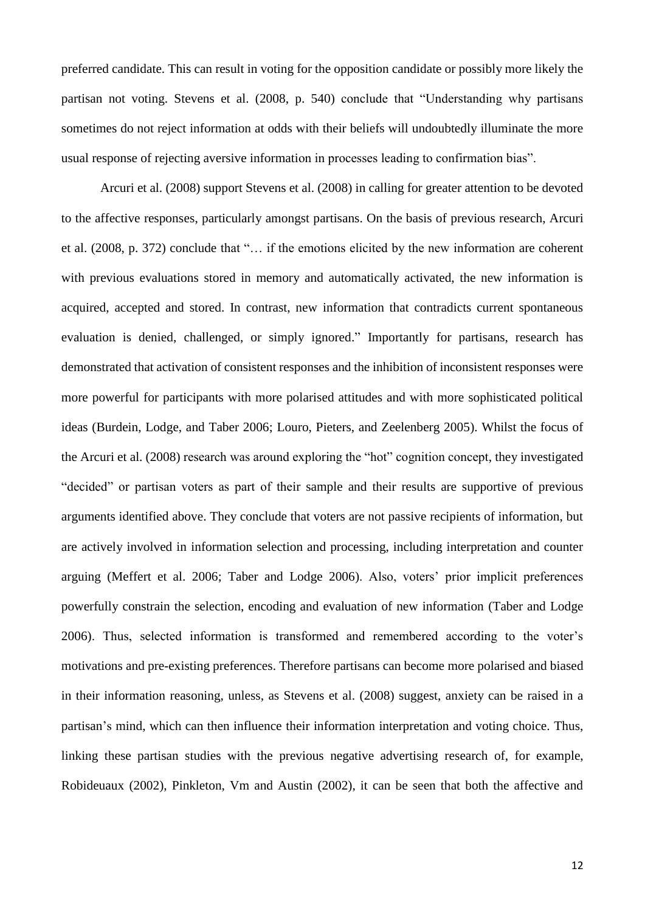preferred candidate. This can result in voting for the opposition candidate or possibly more likely the partisan not voting. Stevens et al. (2008, p. 540) conclude that "Understanding why partisans sometimes do not reject information at odds with their beliefs will undoubtedly illuminate the more usual response of rejecting aversive information in processes leading to confirmation bias".

Arcuri et al. (2008) support Stevens et al. (2008) in calling for greater attention to be devoted to the affective responses, particularly amongst partisans. On the basis of previous research, Arcuri et al. (2008, p. 372) conclude that "… if the emotions elicited by the new information are coherent with previous evaluations stored in memory and automatically activated, the new information is acquired, accepted and stored. In contrast, new information that contradicts current spontaneous evaluation is denied, challenged, or simply ignored." Importantly for partisans, research has demonstrated that activation of consistent responses and the inhibition of inconsistent responses were more powerful for participants with more polarised attitudes and with more sophisticated political ideas (Burdein, Lodge, and Taber 2006; Louro, Pieters, and Zeelenberg 2005). Whilst the focus of the Arcuri et al. (2008) research was around exploring the "hot" cognition concept, they investigated "decided" or partisan voters as part of their sample and their results are supportive of previous arguments identified above. They conclude that voters are not passive recipients of information, but are actively involved in information selection and processing, including interpretation and counter arguing (Meffert et al. 2006; Taber and Lodge 2006). Also, voters' prior implicit preferences powerfully constrain the selection, encoding and evaluation of new information (Taber and Lodge 2006). Thus, selected information is transformed and remembered according to the voter's motivations and pre-existing preferences. Therefore partisans can become more polarised and biased in their information reasoning, unless, as Stevens et al. (2008) suggest, anxiety can be raised in a partisan's mind, which can then influence their information interpretation and voting choice. Thus, linking these partisan studies with the previous negative advertising research of, for example, Robideuaux (2002), Pinkleton, Vm and Austin (2002), it can be seen that both the affective and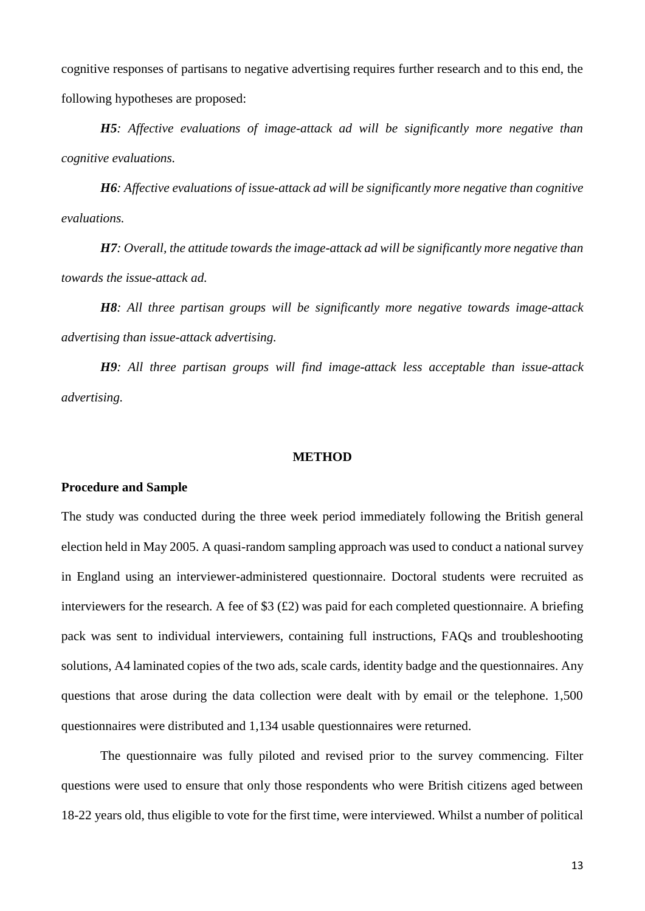cognitive responses of partisans to negative advertising requires further research and to this end, the following hypotheses are proposed:

*H5: Affective evaluations of image-attack ad will be significantly more negative than cognitive evaluations.*

*H6: Affective evaluations of issue-attack ad will be significantly more negative than cognitive evaluations.*

*H7: Overall, the attitude towards the image-attack ad will be significantly more negative than towards the issue-attack ad.* 

*H8: All three partisan groups will be significantly more negative towards image-attack advertising than issue-attack advertising.* 

*H9: All three partisan groups will find image-attack less acceptable than issue-attack advertising.*

## **METHOD**

## **Procedure and Sample**

The study was conducted during the three week period immediately following the British general election held in May 2005. A quasi-random sampling approach was used to conduct a national survey in England using an interviewer-administered questionnaire. Doctoral students were recruited as interviewers for the research. A fee of \$3 (£2) was paid for each completed questionnaire. A briefing pack was sent to individual interviewers, containing full instructions, FAQs and troubleshooting solutions, A4 laminated copies of the two ads, scale cards, identity badge and the questionnaires. Any questions that arose during the data collection were dealt with by email or the telephone. 1,500 questionnaires were distributed and 1,134 usable questionnaires were returned.

The questionnaire was fully piloted and revised prior to the survey commencing. Filter questions were used to ensure that only those respondents who were British citizens aged between 18-22 years old, thus eligible to vote for the first time, were interviewed. Whilst a number of political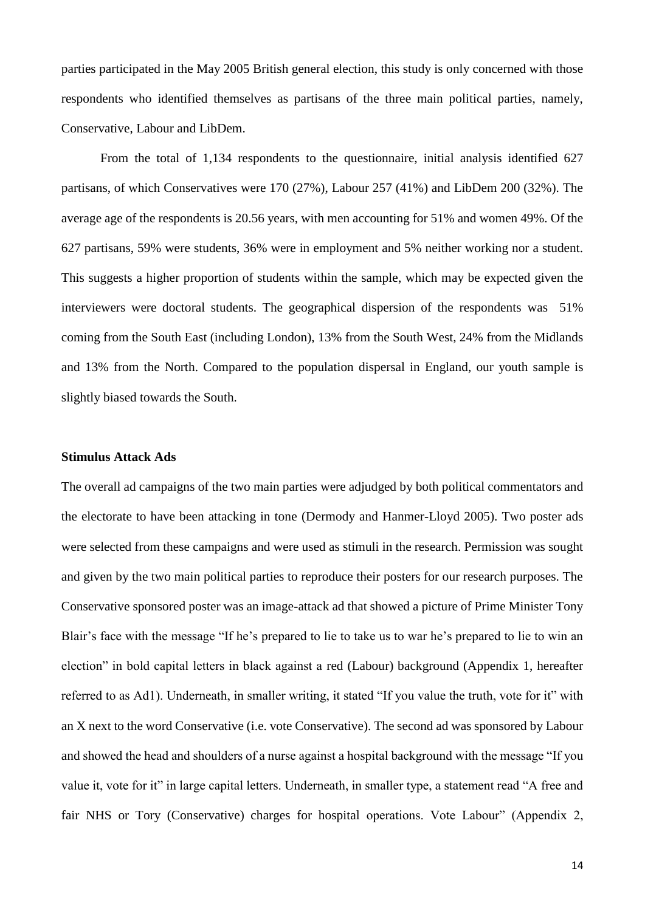parties participated in the May 2005 British general election, this study is only concerned with those respondents who identified themselves as partisans of the three main political parties, namely, Conservative, Labour and LibDem.

From the total of 1,134 respondents to the questionnaire, initial analysis identified 627 partisans, of which Conservatives were 170 (27%), Labour 257 (41%) and LibDem 200 (32%). The average age of the respondents is 20.56 years, with men accounting for 51% and women 49%. Of the 627 partisans, 59% were students, 36% were in employment and 5% neither working nor a student. This suggests a higher proportion of students within the sample, which may be expected given the interviewers were doctoral students. The geographical dispersion of the respondents was 51% coming from the South East (including London), 13% from the South West, 24% from the Midlands and 13% from the North. Compared to the population dispersal in England, our youth sample is slightly biased towards the South.

## **Stimulus Attack Ads**

The overall ad campaigns of the two main parties were adjudged by both political commentators and the electorate to have been attacking in tone (Dermody and Hanmer-Lloyd 2005). Two poster ads were selected from these campaigns and were used as stimuli in the research. Permission was sought and given by the two main political parties to reproduce their posters for our research purposes. The Conservative sponsored poster was an image-attack ad that showed a picture of Prime Minister Tony Blair's face with the message "If he's prepared to lie to take us to war he's prepared to lie to win an election" in bold capital letters in black against a red (Labour) background (Appendix 1, hereafter referred to as Ad1). Underneath, in smaller writing, it stated "If you value the truth, vote for it" with an X next to the word Conservative (i.e. vote Conservative). The second ad was sponsored by Labour and showed the head and shoulders of a nurse against a hospital background with the message "If you value it, vote for it" in large capital letters. Underneath, in smaller type, a statement read "A free and fair NHS or Tory (Conservative) charges for hospital operations. Vote Labour" (Appendix 2,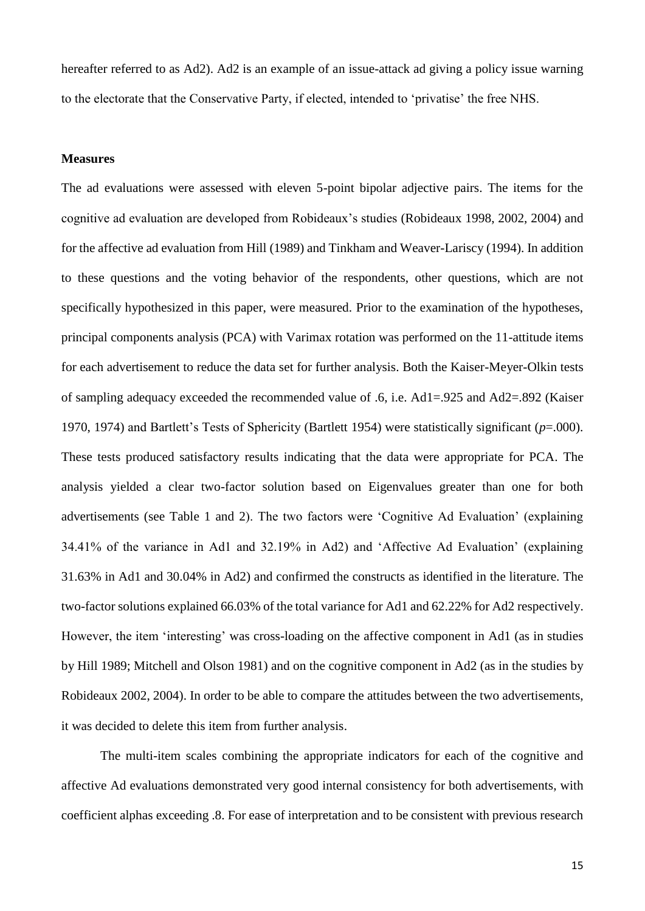hereafter referred to as Ad2). Ad2 is an example of an issue-attack ad giving a policy issue warning to the electorate that the Conservative Party, if elected, intended to 'privatise' the free NHS.

#### **Measures**

The ad evaluations were assessed with eleven 5-point bipolar adjective pairs. The items for the cognitive ad evaluation are developed from Robideaux's studies (Robideaux 1998, 2002, 2004) and for the affective ad evaluation from Hill (1989) and Tinkham and Weaver-Lariscy (1994). In addition to these questions and the voting behavior of the respondents, other questions, which are not specifically hypothesized in this paper, were measured. Prior to the examination of the hypotheses, principal components analysis (PCA) with Varimax rotation was performed on the 11-attitude items for each advertisement to reduce the data set for further analysis. Both the Kaiser-Meyer-Olkin tests of sampling adequacy exceeded the recommended value of .6, i.e. Ad1=.925 and Ad2=.892 (Kaiser 1970, 1974) and Bartlett's Tests of Sphericity (Bartlett 1954) were statistically significant (*p*=.000). These tests produced satisfactory results indicating that the data were appropriate for PCA. The analysis yielded a clear two-factor solution based on Eigenvalues greater than one for both advertisements (see Table 1 and 2). The two factors were 'Cognitive Ad Evaluation' (explaining 34.41% of the variance in Ad1 and 32.19% in Ad2) and 'Affective Ad Evaluation' (explaining 31.63% in Ad1 and 30.04% in Ad2) and confirmed the constructs as identified in the literature. The two-factor solutions explained 66.03% of the total variance for Ad1 and 62.22% for Ad2 respectively. However, the item 'interesting' was cross-loading on the affective component in Ad1 (as in studies by Hill 1989; Mitchell and Olson 1981) and on the cognitive component in Ad2 (as in the studies by Robideaux 2002, 2004). In order to be able to compare the attitudes between the two advertisements, it was decided to delete this item from further analysis.

The multi-item scales combining the appropriate indicators for each of the cognitive and affective Ad evaluations demonstrated very good internal consistency for both advertisements, with coefficient alphas exceeding .8. For ease of interpretation and to be consistent with previous research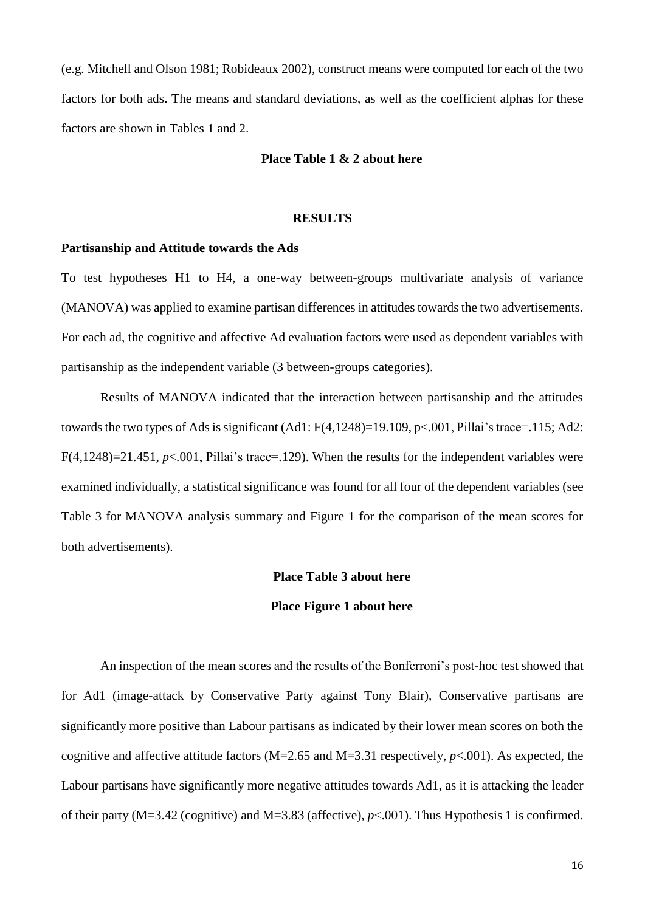(e.g. Mitchell and Olson 1981; Robideaux 2002), construct means were computed for each of the two factors for both ads. The means and standard deviations, as well as the coefficient alphas for these factors are shown in Tables 1 and 2.

#### **Place Table 1 & 2 about here**

#### **RESULTS**

#### **Partisanship and Attitude towards the Ads**

To test hypotheses H1 to H4, a one-way between-groups multivariate analysis of variance (MANOVA) was applied to examine partisan differences in attitudes towards the two advertisements. For each ad, the cognitive and affective Ad evaluation factors were used as dependent variables with partisanship as the independent variable (3 between-groups categories).

Results of MANOVA indicated that the interaction between partisanship and the attitudes towards the two types of Ads is significant  $(Ad1: F(4,1248)=19.109, p<.001, Pillai's trace=.115; Ad2:$  $F(4,1248)=21.451, p<.001, Pillai's trace=.129$ . When the results for the independent variables were examined individually, a statistical significance was found for all four of the dependent variables (see Table 3 for MANOVA analysis summary and Figure 1 for the comparison of the mean scores for both advertisements).

## **Place Table 3 about here**

#### **Place Figure 1 about here**

An inspection of the mean scores and the results of the Bonferroni's post-hoc test showed that for Ad1 (image-attack by Conservative Party against Tony Blair), Conservative partisans are significantly more positive than Labour partisans as indicated by their lower mean scores on both the cognitive and affective attitude factors (M=2.65 and M=3.31 respectively, *p*<.001). As expected, the Labour partisans have significantly more negative attitudes towards Ad1, as it is attacking the leader of their party (M=3.42 (cognitive) and M=3.83 (affective), *p*<.001). Thus Hypothesis 1 is confirmed.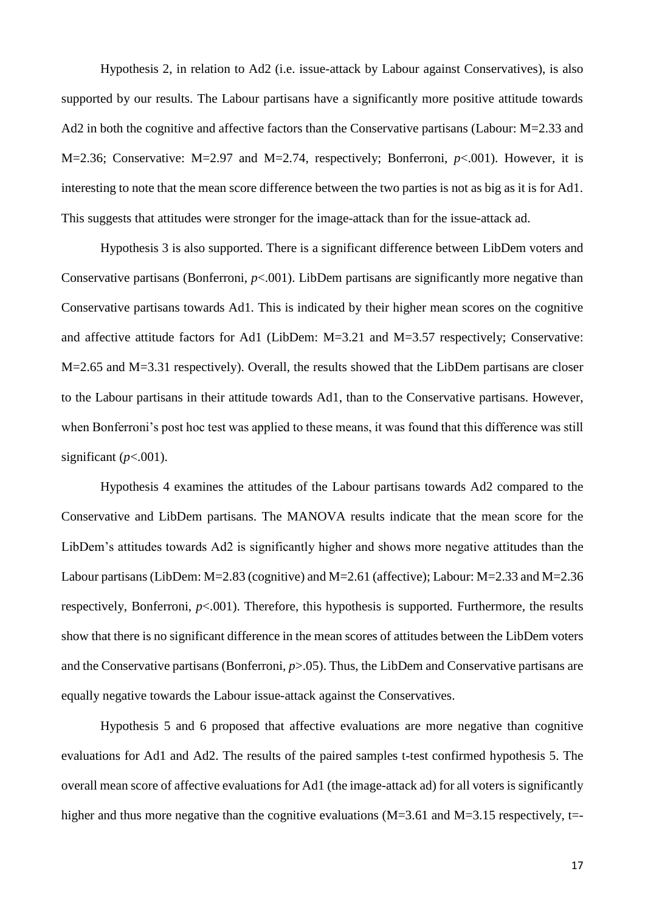Hypothesis 2, in relation to Ad2 (i.e. issue-attack by Labour against Conservatives), is also supported by our results. The Labour partisans have a significantly more positive attitude towards Ad2 in both the cognitive and affective factors than the Conservative partisans (Labour: M=2.33 and M=2.36; Conservative: M=2.97 and M=2.74, respectively; Bonferroni, *p*<.001). However, it is interesting to note that the mean score difference between the two parties is not as big as it is for Ad1. This suggests that attitudes were stronger for the image-attack than for the issue-attack ad.

Hypothesis 3 is also supported. There is a significant difference between LibDem voters and Conservative partisans (Bonferroni,  $p<.001$ ). LibDem partisans are significantly more negative than Conservative partisans towards Ad1. This is indicated by their higher mean scores on the cognitive and affective attitude factors for Ad1 (LibDem: M=3.21 and M=3.57 respectively; Conservative: M=2.65 and M=3.31 respectively). Overall, the results showed that the LibDem partisans are closer to the Labour partisans in their attitude towards Ad1, than to the Conservative partisans. However, when Bonferroni's post hoc test was applied to these means, it was found that this difference was still significant  $(p<.001)$ .

Hypothesis 4 examines the attitudes of the Labour partisans towards Ad2 compared to the Conservative and LibDem partisans. The MANOVA results indicate that the mean score for the LibDem's attitudes towards Ad2 is significantly higher and shows more negative attitudes than the Labour partisans (LibDem: M=2.83 (cognitive) and M=2.61 (affective); Labour: M=2.33 and M=2.36 respectively, Bonferroni,  $p<.001$ ). Therefore, this hypothesis is supported. Furthermore, the results show that there is no significant difference in the mean scores of attitudes between the LibDem voters and the Conservative partisans (Bonferroni, *p*>.05). Thus, the LibDem and Conservative partisans are equally negative towards the Labour issue-attack against the Conservatives.

Hypothesis 5 and 6 proposed that affective evaluations are more negative than cognitive evaluations for Ad1 and Ad2. The results of the paired samples t-test confirmed hypothesis 5. The overall mean score of affective evaluations for Ad1 (the image-attack ad) for all voters is significantly higher and thus more negative than the cognitive evaluations ( $M=3.61$  and  $M=3.15$  respectively, t=-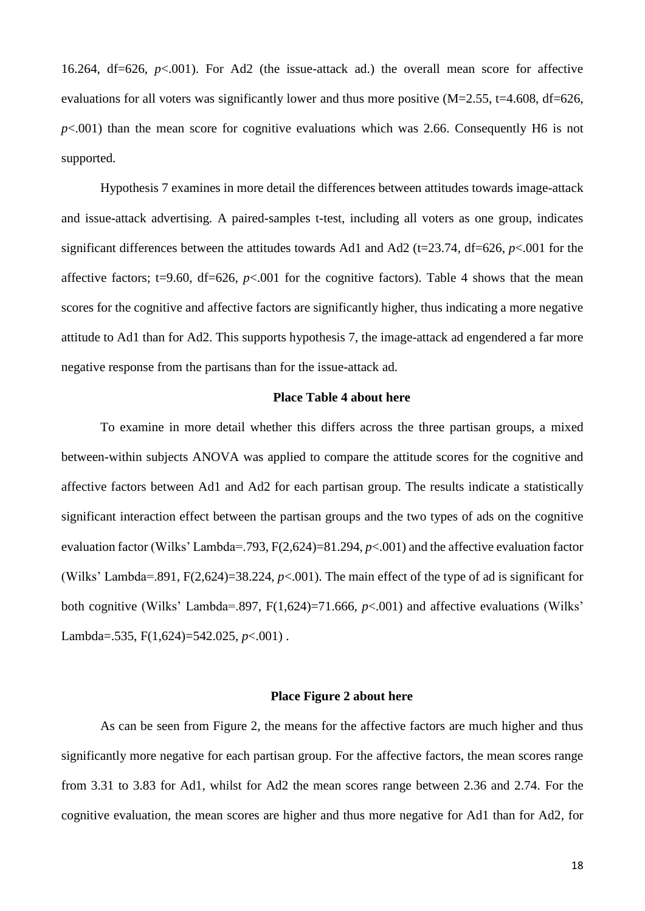16.264, df=626, *p*<.001). For Ad2 (the issue-attack ad.) the overall mean score for affective evaluations for all voters was significantly lower and thus more positive  $(M=2.55, t=4.608, df=626,$  $p<.001$ ) than the mean score for cognitive evaluations which was 2.66. Consequently H6 is not supported.

Hypothesis 7 examines in more detail the differences between attitudes towards image-attack and issue-attack advertising. A paired-samples t-test, including all voters as one group, indicates significant differences between the attitudes towards Ad1 and Ad2 (t=23.74, df=626, *p*<.001 for the affective factors; t=9.60, df=626,  $p<0.001$  for the cognitive factors). Table 4 shows that the mean scores for the cognitive and affective factors are significantly higher, thus indicating a more negative attitude to Ad1 than for Ad2. This supports hypothesis 7, the image-attack ad engendered a far more negative response from the partisans than for the issue-attack ad.

## **Place Table 4 about here**

To examine in more detail whether this differs across the three partisan groups, a mixed between-within subjects ANOVA was applied to compare the attitude scores for the cognitive and affective factors between Ad1 and Ad2 for each partisan group. The results indicate a statistically significant interaction effect between the partisan groups and the two types of ads on the cognitive evaluation factor (Wilks' Lambda=.793, F(2,624)=81.294, *p*<.001) and the affective evaluation factor (Wilks' Lambda=.891, F(2,624)=38.224, *p*<.001). The main effect of the type of ad is significant for both cognitive (Wilks' Lambda=.897, F(1,624)=71.666, *p*<.001) and affective evaluations (Wilks' Lambda=.535, F(1,624)=542.025, *p*<.001) .

#### **Place Figure 2 about here**

As can be seen from Figure 2, the means for the affective factors are much higher and thus significantly more negative for each partisan group. For the affective factors, the mean scores range from 3.31 to 3.83 for Ad1, whilst for Ad2 the mean scores range between 2.36 and 2.74. For the cognitive evaluation, the mean scores are higher and thus more negative for Ad1 than for Ad2, for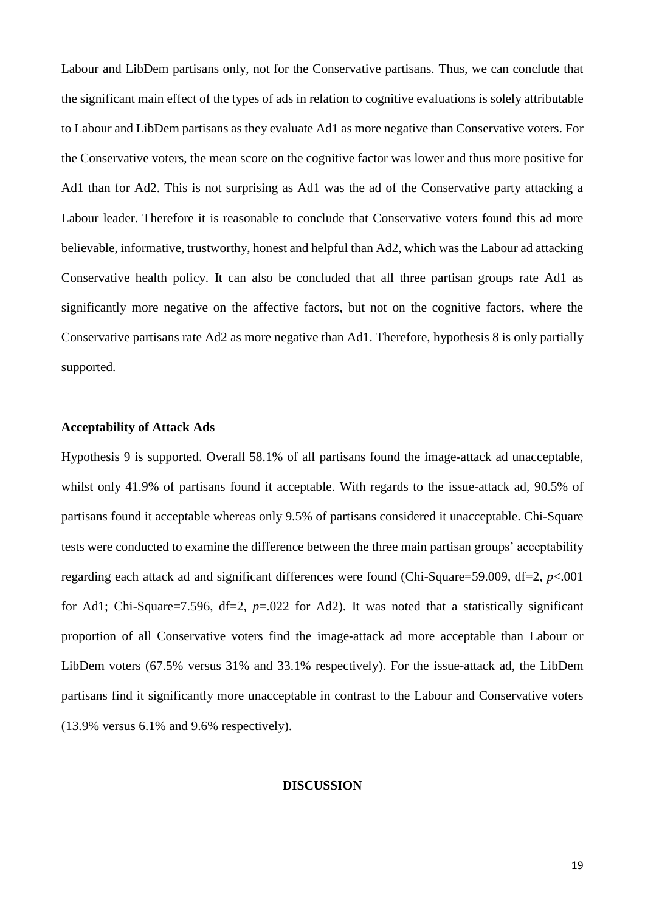Labour and LibDem partisans only, not for the Conservative partisans. Thus, we can conclude that the significant main effect of the types of ads in relation to cognitive evaluations is solely attributable to Labour and LibDem partisans as they evaluate Ad1 as more negative than Conservative voters. For the Conservative voters, the mean score on the cognitive factor was lower and thus more positive for Ad1 than for Ad2. This is not surprising as Ad1 was the ad of the Conservative party attacking a Labour leader. Therefore it is reasonable to conclude that Conservative voters found this ad more believable, informative, trustworthy, honest and helpful than Ad2, which was the Labour ad attacking Conservative health policy. It can also be concluded that all three partisan groups rate Ad1 as significantly more negative on the affective factors, but not on the cognitive factors, where the Conservative partisans rate Ad2 as more negative than Ad1. Therefore, hypothesis 8 is only partially supported.

## **Acceptability of Attack Ads**

Hypothesis 9 is supported. Overall 58.1% of all partisans found the image-attack ad unacceptable, whilst only 41.9% of partisans found it acceptable. With regards to the issue-attack ad, 90.5% of partisans found it acceptable whereas only 9.5% of partisans considered it unacceptable. Chi-Square tests were conducted to examine the difference between the three main partisan groups' acceptability regarding each attack ad and significant differences were found (Chi-Square=59.009, df=2, *p*<.001 for Ad1; Chi-Square=7.596, df=2, *p*=.022 for Ad2). It was noted that a statistically significant proportion of all Conservative voters find the image-attack ad more acceptable than Labour or LibDem voters (67.5% versus 31% and 33.1% respectively). For the issue-attack ad, the LibDem partisans find it significantly more unacceptable in contrast to the Labour and Conservative voters (13.9% versus 6.1% and 9.6% respectively).

#### **DISCUSSION**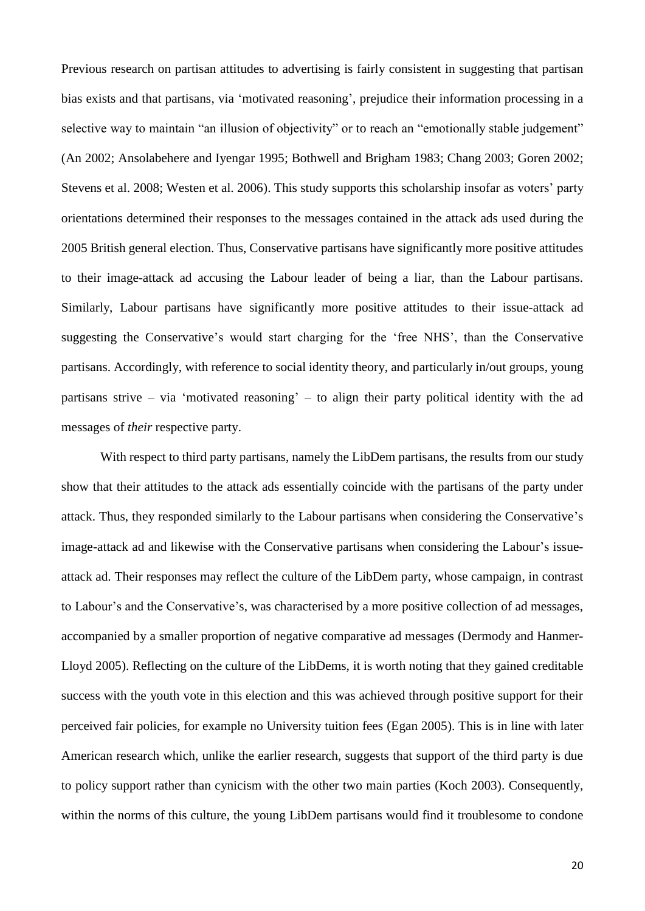Previous research on partisan attitudes to advertising is fairly consistent in suggesting that partisan bias exists and that partisans, via 'motivated reasoning', prejudice their information processing in a selective way to maintain "an illusion of objectivity" or to reach an "emotionally stable judgement" (An 2002; Ansolabehere and Iyengar 1995; Bothwell and Brigham 1983; Chang 2003; Goren 2002; Stevens et al. 2008; Westen et al. 2006). This study supports this scholarship insofar as voters' party orientations determined their responses to the messages contained in the attack ads used during the 2005 British general election. Thus, Conservative partisans have significantly more positive attitudes to their image-attack ad accusing the Labour leader of being a liar, than the Labour partisans. Similarly, Labour partisans have significantly more positive attitudes to their issue-attack ad suggesting the Conservative's would start charging for the 'free NHS', than the Conservative partisans. Accordingly, with reference to social identity theory, and particularly in/out groups, young partisans strive – via 'motivated reasoning' – to align their party political identity with the ad messages of *their* respective party.

With respect to third party partisans, namely the LibDem partisans, the results from our study show that their attitudes to the attack ads essentially coincide with the partisans of the party under attack. Thus, they responded similarly to the Labour partisans when considering the Conservative's image-attack ad and likewise with the Conservative partisans when considering the Labour's issueattack ad. Their responses may reflect the culture of the LibDem party, whose campaign, in contrast to Labour's and the Conservative's, was characterised by a more positive collection of ad messages, accompanied by a smaller proportion of negative comparative ad messages (Dermody and Hanmer-Lloyd 2005). Reflecting on the culture of the LibDems, it is worth noting that they gained creditable success with the youth vote in this election and this was achieved through positive support for their perceived fair policies, for example no University tuition fees (Egan 2005). This is in line with later American research which, unlike the earlier research, suggests that support of the third party is due to policy support rather than cynicism with the other two main parties (Koch 2003). Consequently, within the norms of this culture, the young LibDem partisans would find it troublesome to condone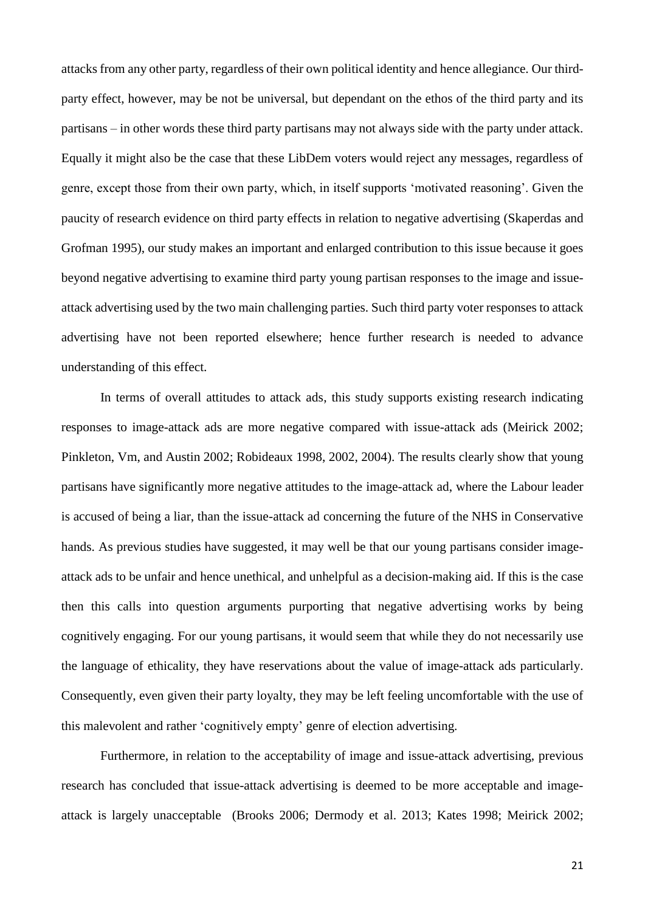attacks from any other party, regardless of their own political identity and hence allegiance. Our thirdparty effect, however, may be not be universal, but dependant on the ethos of the third party and its partisans – in other words these third party partisans may not always side with the party under attack. Equally it might also be the case that these LibDem voters would reject any messages, regardless of genre, except those from their own party, which, in itself supports 'motivated reasoning'. Given the paucity of research evidence on third party effects in relation to negative advertising (Skaperdas and Grofman 1995), our study makes an important and enlarged contribution to this issue because it goes beyond negative advertising to examine third party young partisan responses to the image and issueattack advertising used by the two main challenging parties. Such third party voter responses to attack advertising have not been reported elsewhere; hence further research is needed to advance understanding of this effect.

In terms of overall attitudes to attack ads, this study supports existing research indicating responses to image-attack ads are more negative compared with issue-attack ads (Meirick 2002; Pinkleton, Vm, and Austin 2002; Robideaux 1998, 2002, 2004). The results clearly show that young partisans have significantly more negative attitudes to the image-attack ad, where the Labour leader is accused of being a liar, than the issue-attack ad concerning the future of the NHS in Conservative hands. As previous studies have suggested, it may well be that our young partisans consider imageattack ads to be unfair and hence unethical, and unhelpful as a decision-making aid. If this is the case then this calls into question arguments purporting that negative advertising works by being cognitively engaging. For our young partisans, it would seem that while they do not necessarily use the language of ethicality, they have reservations about the value of image-attack ads particularly. Consequently, even given their party loyalty, they may be left feeling uncomfortable with the use of this malevolent and rather 'cognitively empty' genre of election advertising.

Furthermore, in relation to the acceptability of image and issue-attack advertising, previous research has concluded that issue-attack advertising is deemed to be more acceptable and imageattack is largely unacceptable (Brooks 2006; Dermody et al. 2013; Kates 1998; Meirick 2002;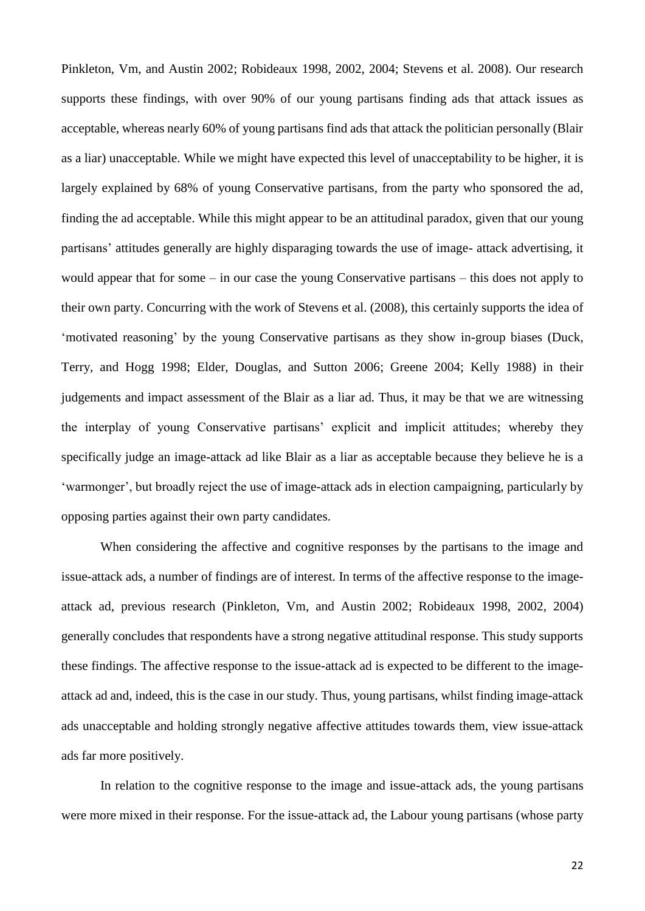Pinkleton, Vm, and Austin 2002; Robideaux 1998, 2002, 2004; Stevens et al. 2008). Our research supports these findings, with over 90% of our young partisans finding ads that attack issues as acceptable, whereas nearly 60% of young partisans find ads that attack the politician personally (Blair as a liar) unacceptable. While we might have expected this level of unacceptability to be higher, it is largely explained by 68% of young Conservative partisans, from the party who sponsored the ad, finding the ad acceptable. While this might appear to be an attitudinal paradox, given that our young partisans' attitudes generally are highly disparaging towards the use of image- attack advertising, it would appear that for some – in our case the young Conservative partisans – this does not apply to their own party. Concurring with the work of Stevens et al. (2008), this certainly supports the idea of 'motivated reasoning' by the young Conservative partisans as they show in-group biases (Duck, Terry, and Hogg 1998; Elder, Douglas, and Sutton 2006; Greene 2004; Kelly 1988) in their judgements and impact assessment of the Blair as a liar ad. Thus, it may be that we are witnessing the interplay of young Conservative partisans' explicit and implicit attitudes; whereby they specifically judge an image-attack ad like Blair as a liar as acceptable because they believe he is a 'warmonger', but broadly reject the use of image-attack ads in election campaigning, particularly by opposing parties against their own party candidates.

When considering the affective and cognitive responses by the partisans to the image and issue-attack ads, a number of findings are of interest. In terms of the affective response to the imageattack ad, previous research (Pinkleton, Vm, and Austin 2002; Robideaux 1998, 2002, 2004) generally concludes that respondents have a strong negative attitudinal response. This study supports these findings. The affective response to the issue-attack ad is expected to be different to the imageattack ad and, indeed, this is the case in our study. Thus, young partisans, whilst finding image-attack ads unacceptable and holding strongly negative affective attitudes towards them, view issue-attack ads far more positively.

In relation to the cognitive response to the image and issue-attack ads, the young partisans were more mixed in their response. For the issue-attack ad, the Labour young partisans (whose party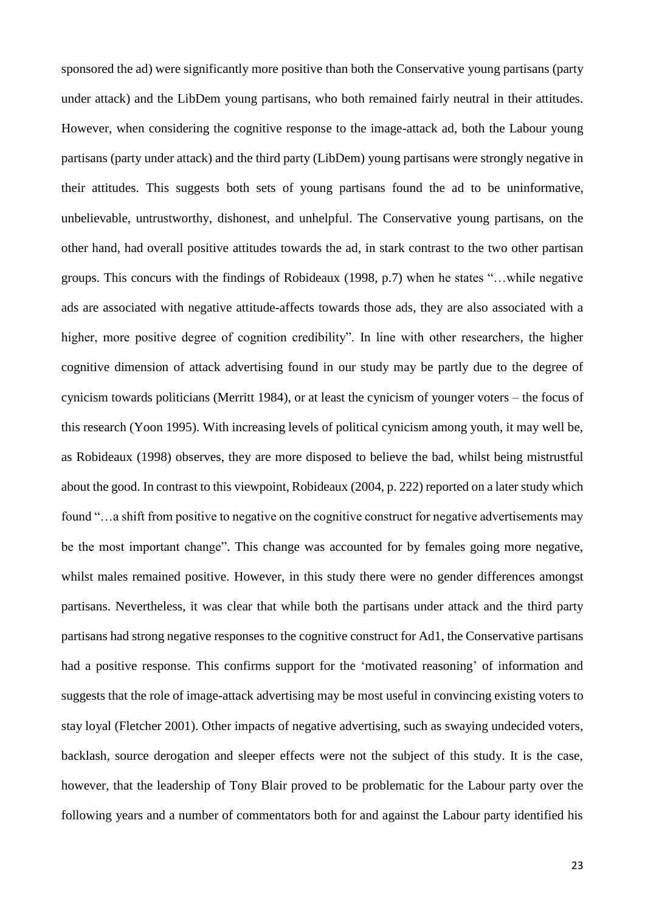sponsored the ad) were significantly more positive than both the Conservative young partisans (party under attack) and the LibDem young partisans, who both remained fairly neutral in their attitudes. However, when considering the cognitive response to the image-attack ad, both the Labour young partisans (party under attack) and the third party (LibDem) young partisans were strongly negative in their attitudes. This suggests both sets of young partisans found the ad to be uninformative, unbelievable, untrustworthy, dishonest, and unhelpful. The Conservative young partisans, on the other hand, had overall positive attitudes towards the ad, in stark contrast to the two other partisan groups. This concurs with the findings of Robideaux (1998, p.7) when he states "…while negative ads are associated with negative attitude-affects towards those ads, they are also associated with a higher, more positive degree of cognition credibility". In line with other researchers, the higher cognitive dimension of attack advertising found in our study may be partly due to the degree of cynicism towards politicians (Merritt 1984), or at least the cynicism of younger voters – the focus of this research (Yoon 1995). With increasing levels of political cynicism among youth, it may well be, as Robideaux (1998) observes, they are more disposed to believe the bad, whilst being mistrustful about the good. In contrast to this viewpoint, Robideaux (2004, p. 222) reported on a later study which found "…a shift from positive to negative on the cognitive construct for negative advertisements may be the most important change". This change was accounted for by females going more negative, whilst males remained positive. However, in this study there were no gender differences amongst partisans. Nevertheless, it was clear that while both the partisans under attack and the third party partisans had strong negative responses to the cognitive construct for Ad1, the Conservative partisans had a positive response. This confirms support for the 'motivated reasoning' of information and suggests that the role of image-attack advertising may be most useful in convincing existing voters to stay loyal (Fletcher 2001). Other impacts of negative advertising, such as swaying undecided voters, backlash, source derogation and sleeper effects were not the subject of this study. It is the case, however, that the leadership of Tony Blair proved to be problematic for the Labour party over the following years and a number of commentators both for and against the Labour party identified his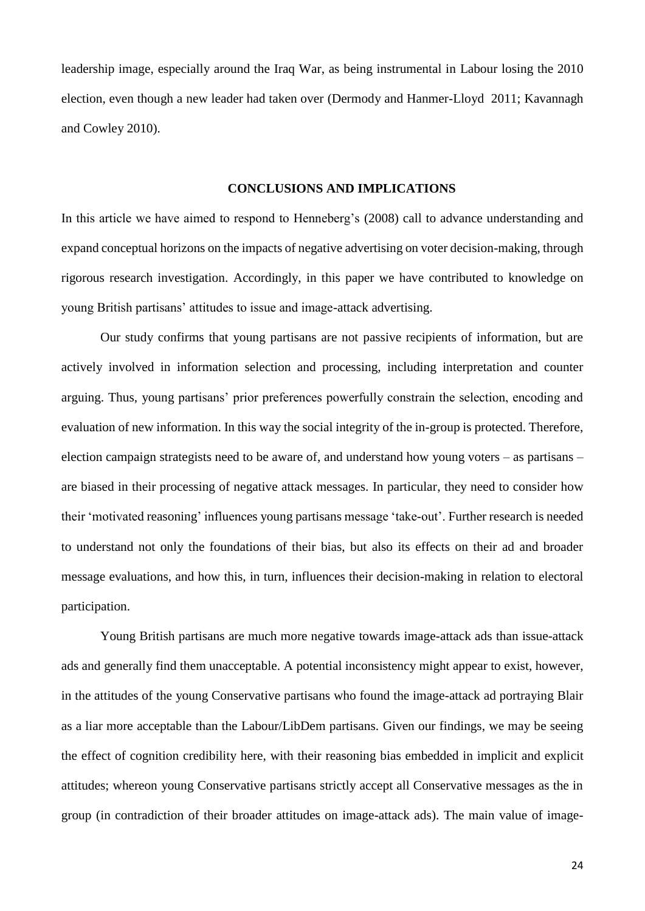leadership image, especially around the Iraq War, as being instrumental in Labour losing the 2010 election, even though a new leader had taken over (Dermody and Hanmer-Lloyd 2011; Kavannagh and Cowley 2010).

## **CONCLUSIONS AND IMPLICATIONS**

In this article we have aimed to respond to Henneberg's (2008) call to advance understanding and expand conceptual horizons on the impacts of negative advertising on voter decision-making, through rigorous research investigation. Accordingly, in this paper we have contributed to knowledge on young British partisans' attitudes to issue and image-attack advertising.

Our study confirms that young partisans are not passive recipients of information, but are actively involved in information selection and processing, including interpretation and counter arguing. Thus, young partisans' prior preferences powerfully constrain the selection, encoding and evaluation of new information. In this way the social integrity of the in-group is protected. Therefore, election campaign strategists need to be aware of, and understand how young voters – as partisans – are biased in their processing of negative attack messages. In particular, they need to consider how their 'motivated reasoning' influences young partisans message 'take-out'. Further research is needed to understand not only the foundations of their bias, but also its effects on their ad and broader message evaluations, and how this, in turn, influences their decision-making in relation to electoral participation.

Young British partisans are much more negative towards image-attack ads than issue-attack ads and generally find them unacceptable. A potential inconsistency might appear to exist, however, in the attitudes of the young Conservative partisans who found the image-attack ad portraying Blair as a liar more acceptable than the Labour/LibDem partisans. Given our findings, we may be seeing the effect of cognition credibility here, with their reasoning bias embedded in implicit and explicit attitudes; whereon young Conservative partisans strictly accept all Conservative messages as the in group (in contradiction of their broader attitudes on image-attack ads). The main value of image-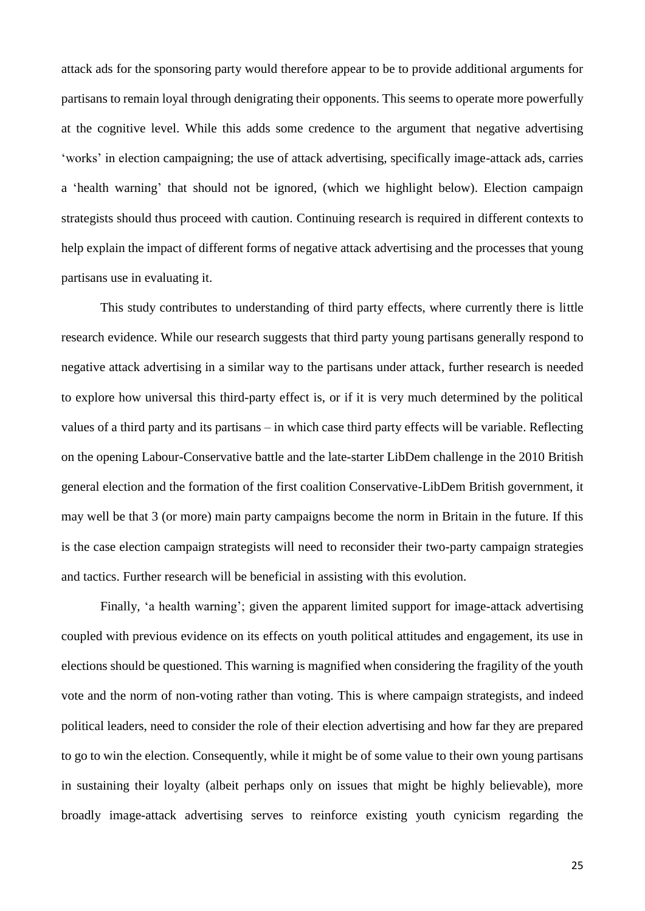attack ads for the sponsoring party would therefore appear to be to provide additional arguments for partisans to remain loyal through denigrating their opponents. This seems to operate more powerfully at the cognitive level. While this adds some credence to the argument that negative advertising 'works' in election campaigning; the use of attack advertising, specifically image-attack ads, carries a 'health warning' that should not be ignored, (which we highlight below). Election campaign strategists should thus proceed with caution. Continuing research is required in different contexts to help explain the impact of different forms of negative attack advertising and the processes that young partisans use in evaluating it.

This study contributes to understanding of third party effects, where currently there is little research evidence. While our research suggests that third party young partisans generally respond to negative attack advertising in a similar way to the partisans under attack, further research is needed to explore how universal this third-party effect is, or if it is very much determined by the political values of a third party and its partisans – in which case third party effects will be variable. Reflecting on the opening Labour-Conservative battle and the late-starter LibDem challenge in the 2010 British general election and the formation of the first coalition Conservative-LibDem British government, it may well be that 3 (or more) main party campaigns become the norm in Britain in the future. If this is the case election campaign strategists will need to reconsider their two-party campaign strategies and tactics. Further research will be beneficial in assisting with this evolution.

Finally, 'a health warning'; given the apparent limited support for image-attack advertising coupled with previous evidence on its effects on youth political attitudes and engagement, its use in elections should be questioned. This warning is magnified when considering the fragility of the youth vote and the norm of non-voting rather than voting. This is where campaign strategists, and indeed political leaders, need to consider the role of their election advertising and how far they are prepared to go to win the election. Consequently, while it might be of some value to their own young partisans in sustaining their loyalty (albeit perhaps only on issues that might be highly believable), more broadly image-attack advertising serves to reinforce existing youth cynicism regarding the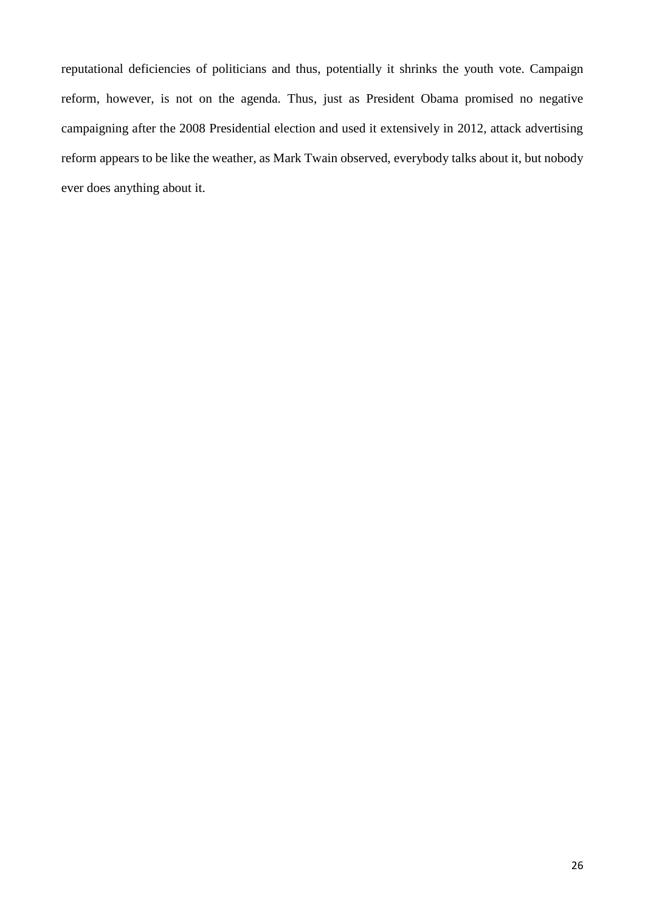reputational deficiencies of politicians and thus, potentially it shrinks the youth vote. Campaign reform, however, is not on the agenda. Thus, just as President Obama promised no negative campaigning after the 2008 Presidential election and used it extensively in 2012, attack advertising reform appears to be like the weather, as Mark Twain observed, everybody talks about it, but nobody ever does anything about it.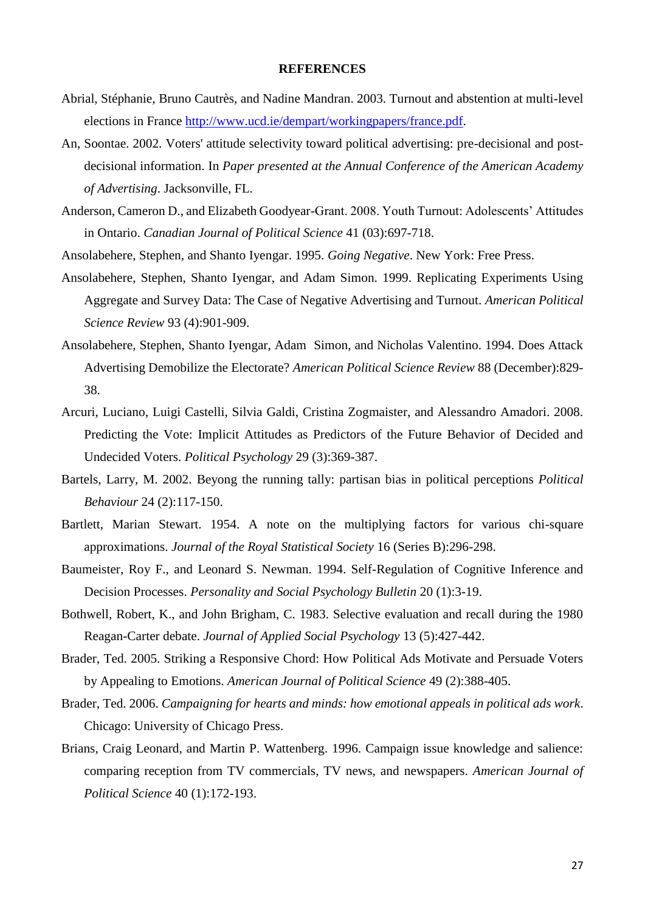#### **REFERENCES**

- Abrial, Stéphanie, Bruno Cautrès, and Nadine Mandran. 2003. Turnout and abstention at multi-level elections in France http://www.ucd.ie/dempart/workingpapers/france.pdf.
- An, Soontae. 2002. Voters' attitude selectivity toward political advertising: pre-decisional and postdecisional information. In *Paper presented at the Annual Conference of the American Academy of Advertising*. Jacksonville, FL.
- Anderson, Cameron D., and Elizabeth Goodyear-Grant. 2008. Youth Turnout: Adolescents' Attitudes in Ontario. *Canadian Journal of Political Science* 41 (03):697-718.
- Ansolabehere, Stephen, and Shanto Iyengar. 1995. *Going Negative*. New York: Free Press.
- Ansolabehere, Stephen, Shanto Iyengar, and Adam Simon. 1999. Replicating Experiments Using Aggregate and Survey Data: The Case of Negative Advertising and Turnout. *American Political Science Review* 93 (4):901-909.
- Ansolabehere, Stephen, Shanto Iyengar, Adam Simon, and Nicholas Valentino. 1994. Does Attack Advertising Demobilize the Electorate? *American Political Science Review* 88 (December):829- 38.
- Arcuri, Luciano, Luigi Castelli, Silvia Galdi, Cristina Zogmaister, and Alessandro Amadori. 2008. Predicting the Vote: Implicit Attitudes as Predictors of the Future Behavior of Decided and Undecided Voters. *Political Psychology* 29 (3):369-387.
- Bartels, Larry, M. 2002. Beyong the running tally: partisan bias in political perceptions *Political Behaviour* 24 (2):117-150.
- Bartlett, Marian Stewart. 1954. A note on the multiplying factors for various chi-square approximations. *Journal of the Royal Statistical Society* 16 (Series B):296-298.
- Baumeister, Roy F., and Leonard S. Newman. 1994. Self-Regulation of Cognitive Inference and Decision Processes. *Personality and Social Psychology Bulletin* 20 (1):3-19.
- Bothwell, Robert, K., and John Brigham, C. 1983. Selective evaluation and recall during the 1980 Reagan-Carter debate. *Journal of Applied Social Psychology* 13 (5):427-442.
- Brader, Ted. 2005. Striking a Responsive Chord: How Political Ads Motivate and Persuade Voters by Appealing to Emotions. *American Journal of Political Science* 49 (2):388-405.
- Brader, Ted. 2006. *Campaigning for hearts and minds: how emotional appeals in political ads work*. Chicago: University of Chicago Press.
- Brians, Craig Leonard, and Martin P. Wattenberg. 1996. Campaign issue knowledge and salience: comparing reception from TV commercials, TV news, and newspapers. *American Journal of Political Science* 40 (1):172-193.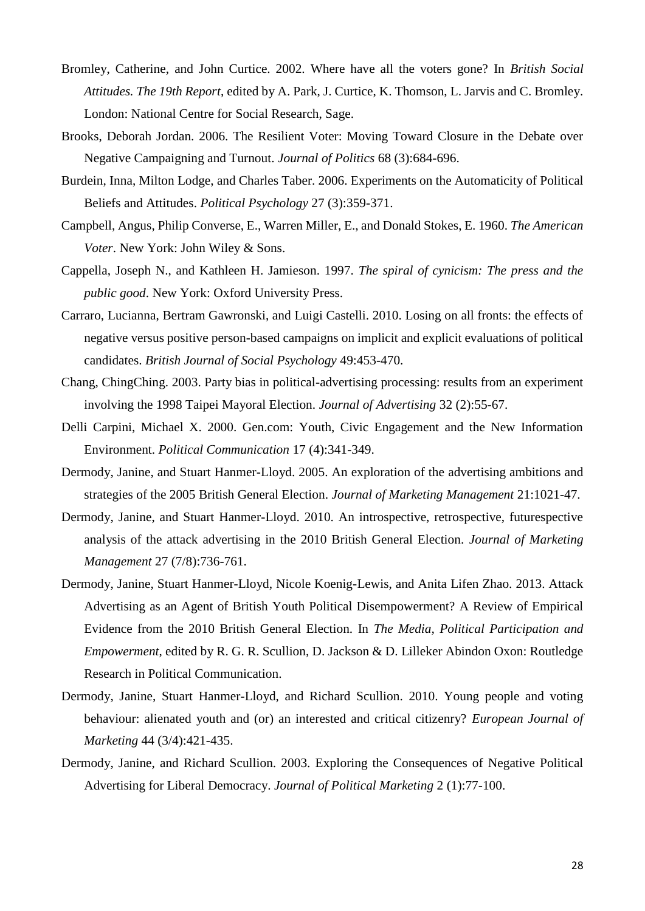- Bromley, Catherine, and John Curtice. 2002. Where have all the voters gone? In *British Social Attitudes. The 19th Report*, edited by A. Park, J. Curtice, K. Thomson, L. Jarvis and C. Bromley. London: National Centre for Social Research, Sage.
- Brooks, Deborah Jordan. 2006. The Resilient Voter: Moving Toward Closure in the Debate over Negative Campaigning and Turnout. *Journal of Politics* 68 (3):684-696.
- Burdein, Inna, Milton Lodge, and Charles Taber. 2006. Experiments on the Automaticity of Political Beliefs and Attitudes. *Political Psychology* 27 (3):359-371.
- Campbell, Angus, Philip Converse, E., Warren Miller, E., and Donald Stokes, E. 1960. *The American Voter*. New York: John Wiley & Sons.
- Cappella, Joseph N., and Kathleen H. Jamieson. 1997. *The spiral of cynicism: The press and the public good*. New York: Oxford University Press.
- Carraro, Lucianna, Bertram Gawronski, and Luigi Castelli. 2010. Losing on all fronts: the effects of negative versus positive person-based campaigns on implicit and explicit evaluations of political candidates. *British Journal of Social Psychology* 49:453-470.
- Chang, ChingChing. 2003. Party bias in political-advertising processing: results from an experiment involving the 1998 Taipei Mayoral Election. *Journal of Advertising* 32 (2):55-67.
- Delli Carpini, Michael X. 2000. Gen.com: Youth, Civic Engagement and the New Information Environment. *Political Communication* 17 (4):341-349.
- Dermody, Janine, and Stuart Hanmer-Lloyd. 2005. An exploration of the advertising ambitions and strategies of the 2005 British General Election. *Journal of Marketing Management* 21:1021-47.
- Dermody, Janine, and Stuart Hanmer-Lloyd. 2010. An introspective, retrospective, futurespective analysis of the attack advertising in the 2010 British General Election. *Journal of Marketing Management* 27 (7/8):736-761.
- Dermody, Janine, Stuart Hanmer-Lloyd, Nicole Koenig-Lewis, and Anita Lifen Zhao. 2013. Attack Advertising as an Agent of British Youth Political Disempowerment? A Review of Empirical Evidence from the 2010 British General Election. In *The Media, Political Participation and Empowerment*, edited by R. G. R. Scullion, D. Jackson & D. Lilleker Abindon Oxon: Routledge Research in Political Communication.
- Dermody, Janine, Stuart Hanmer-Lloyd, and Richard Scullion. 2010. Young people and voting behaviour: alienated youth and (or) an interested and critical citizenry? *European Journal of Marketing* 44 (3/4):421-435.
- Dermody, Janine, and Richard Scullion. 2003. Exploring the Consequences of Negative Political Advertising for Liberal Democracy. *Journal of Political Marketing* 2 (1):77-100.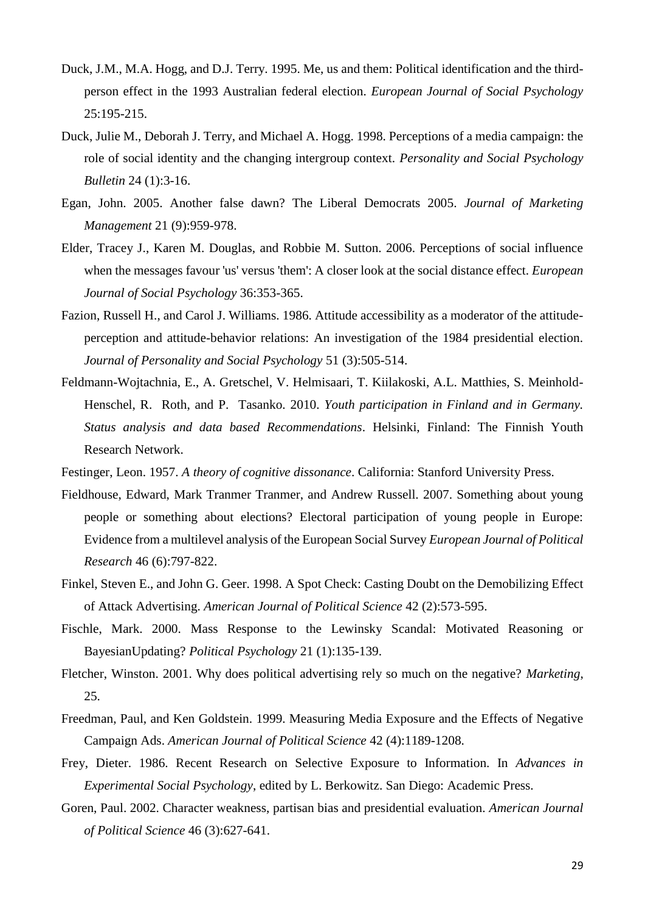- Duck, J.M., M.A. Hogg, and D.J. Terry. 1995. Me, us and them: Political identification and the thirdperson effect in the 1993 Australian federal election. *European Journal of Social Psychology* 25:195-215.
- Duck, Julie M., Deborah J. Terry, and Michael A. Hogg. 1998. Perceptions of a media campaign: the role of social identity and the changing intergroup context. *Personality and Social Psychology Bulletin* 24 (1):3-16.
- Egan, John. 2005. Another false dawn? The Liberal Democrats 2005. *Journal of Marketing Management* 21 (9):959-978.
- Elder, Tracey J., Karen M. Douglas, and Robbie M. Sutton. 2006. Perceptions of social influence when the messages favour 'us' versus 'them': A closer look at the social distance effect. *European Journal of Social Psychology* 36:353-365.
- Fazion, Russell H., and Carol J. Williams. 1986. Attitude accessibility as a moderator of the attitudeperception and attitude-behavior relations: An investigation of the 1984 presidential election. *Journal of Personality and Social Psychology* 51 (3):505-514.
- Feldmann-Wojtachnia, E., A. Gretschel, V. Helmisaari, T. Kiilakoski, A.L. Matthies, S. Meinhold-Henschel, R. Roth, and P. Tasanko. 2010. *Youth participation in Finland and in Germany. Status analysis and data based Recommendations*. Helsinki, Finland: The Finnish Youth Research Network.
- Festinger, Leon. 1957. *A theory of cognitive dissonance*. California: Stanford University Press.
- Fieldhouse, Edward, Mark Tranmer Tranmer, and Andrew Russell. 2007. Something about young people or something about elections? Electoral participation of young people in Europe: Evidence from a multilevel analysis of the European Social Survey *European Journal of Political Research* 46 (6):797-822.
- Finkel, Steven E., and John G. Geer. 1998. A Spot Check: Casting Doubt on the Demobilizing Effect of Attack Advertising. *American Journal of Political Science* 42 (2):573-595.
- Fischle, Mark. 2000. Mass Response to the Lewinsky Scandal: Motivated Reasoning or BayesianUpdating? *Political Psychology* 21 (1):135-139.
- Fletcher, Winston. 2001. Why does political advertising rely so much on the negative? *Marketing*, 25.
- Freedman, Paul, and Ken Goldstein. 1999. Measuring Media Exposure and the Effects of Negative Campaign Ads. *American Journal of Political Science* 42 (4):1189-1208.
- Frey, Dieter. 1986. Recent Research on Selective Exposure to Information. In *Advances in Experimental Social Psychology*, edited by L. Berkowitz. San Diego: Academic Press.
- Goren, Paul. 2002. Character weakness, partisan bias and presidential evaluation. *American Journal of Political Science* 46 (3):627-641.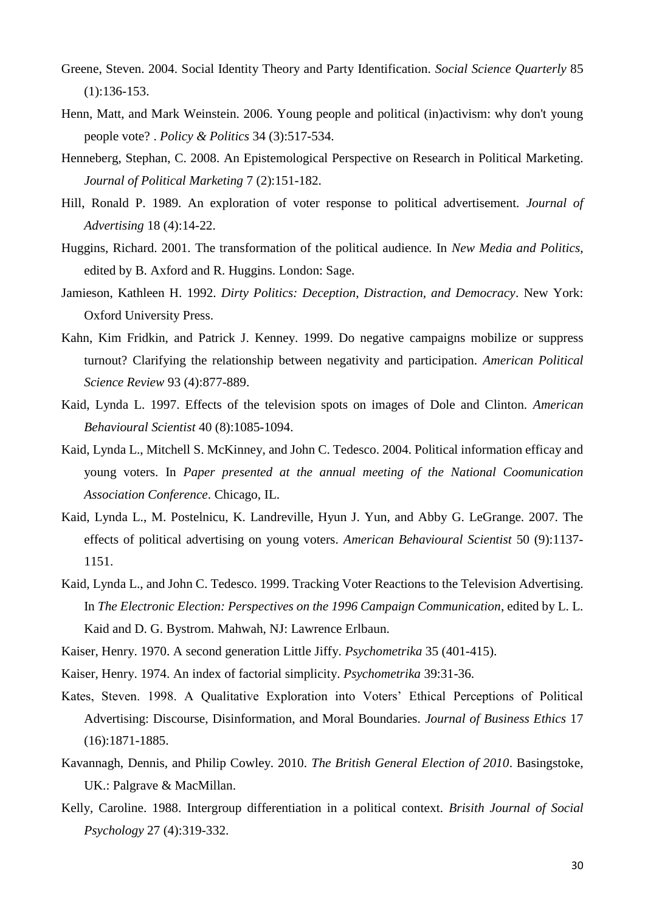- Greene, Steven. 2004. Social Identity Theory and Party Identification. *Social Science Quarterly* 85 (1):136-153.
- Henn, Matt, and Mark Weinstein. 2006. Young people and political (in)activism: why don't young people vote? . *Policy & Politics* 34 (3):517-534.
- Henneberg, Stephan, C. 2008. An Epistemological Perspective on Research in Political Marketing. *Journal of Political Marketing* 7 (2):151-182.
- Hill, Ronald P. 1989. An exploration of voter response to political advertisement. *Journal of Advertising* 18 (4):14-22.
- Huggins, Richard. 2001. The transformation of the political audience. In *New Media and Politics*, edited by B. Axford and R. Huggins. London: Sage.
- Jamieson, Kathleen H. 1992. *Dirty Politics: Deception, Distraction, and Democracy*. New York: Oxford University Press.
- Kahn, Kim Fridkin, and Patrick J. Kenney. 1999. Do negative campaigns mobilize or suppress turnout? Clarifying the relationship between negativity and participation. *American Political Science Review* 93 (4):877-889.
- Kaid, Lynda L. 1997. Effects of the television spots on images of Dole and Clinton. *American Behavioural Scientist* 40 (8):1085-1094.
- Kaid, Lynda L., Mitchell S. McKinney, and John C. Tedesco. 2004. Political information efficay and young voters. In *Paper presented at the annual meeting of the National Coomunication Association Conference*. Chicago, IL.
- Kaid, Lynda L., M. Postelnicu, K. Landreville, Hyun J. Yun, and Abby G. LeGrange. 2007. The effects of political advertising on young voters. *American Behavioural Scientist* 50 (9):1137- 1151.
- Kaid, Lynda L., and John C. Tedesco. 1999. Tracking Voter Reactions to the Television Advertising. In *The Electronic Election: Perspectives on the 1996 Campaign Communication*, edited by L. L. Kaid and D. G. Bystrom. Mahwah, NJ: Lawrence Erlbaun.
- Kaiser, Henry. 1970. A second generation Little Jiffy. *Psychometrika* 35 (401-415).
- Kaiser, Henry. 1974. An index of factorial simplicity. *Psychometrika* 39:31-36.
- Kates, Steven. 1998. A Qualitative Exploration into Voters' Ethical Perceptions of Political Advertising: Discourse, Disinformation, and Moral Boundaries. *Journal of Business Ethics* 17 (16):1871-1885.
- Kavannagh, Dennis, and Philip Cowley. 2010. *The British General Election of 2010*. Basingstoke, UK.: Palgrave & MacMillan.
- Kelly, Caroline. 1988. Intergroup differentiation in a political context. *Brisith Journal of Social Psychology* 27 (4):319-332.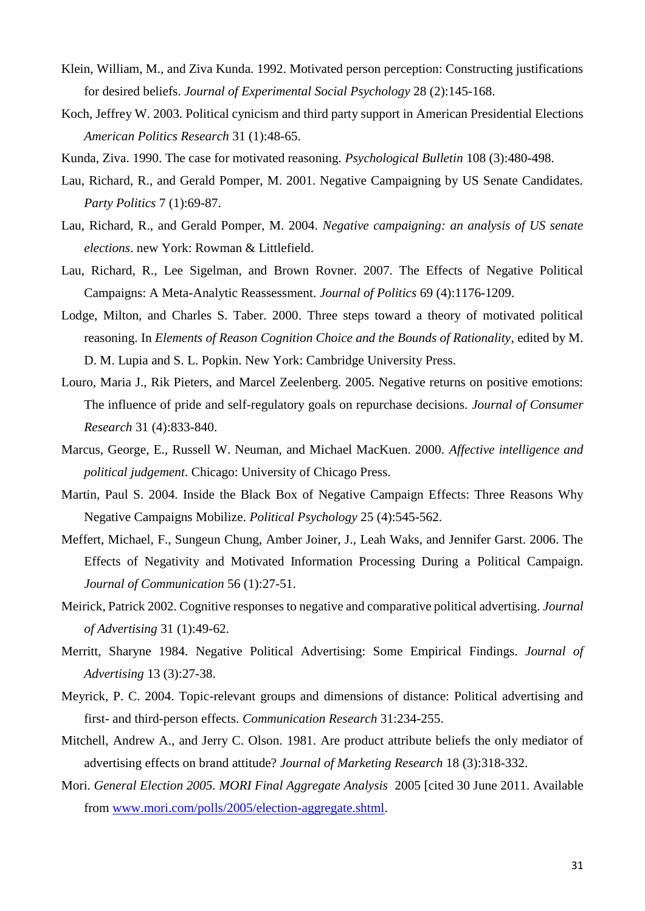- Klein, William, M., and Ziva Kunda. 1992. Motivated person perception: Constructing justifications for desired beliefs. *Journal of Experimental Social Psychology* 28 (2):145-168.
- Koch, Jeffrey W. 2003. Political cynicism and third party support in American Presidential Elections *American Politics Research* 31 (1):48-65.
- Kunda, Ziva. 1990. The case for motivated reasoning. *Psychological Bulletin* 108 (3):480-498.
- Lau, Richard, R., and Gerald Pomper, M. 2001. Negative Campaigning by US Senate Candidates. *Party Politics* 7 (1):69-87.
- Lau, Richard, R., and Gerald Pomper, M. 2004. *Negative campaigning: an analysis of US senate elections*. new York: Rowman & Littlefield.
- Lau, Richard, R., Lee Sigelman, and Brown Rovner. 2007. The Effects of Negative Political Campaigns: A Meta-Analytic Reassessment. *Journal of Politics* 69 (4):1176-1209.
- Lodge, Milton, and Charles S. Taber. 2000. Three steps toward a theory of motivated political reasoning. In *Elements of Reason Cognition Choice and the Bounds of Rationality*, edited by M. D. M. Lupia and S. L. Popkin. New York: Cambridge University Press.
- Louro, Maria J., Rik Pieters, and Marcel Zeelenberg. 2005. Negative returns on positive emotions: The influence of pride and self-regulatory goals on repurchase decisions. *Journal of Consumer Research* 31 (4):833-840.
- Marcus, George, E., Russell W. Neuman, and Michael MacKuen. 2000. *Affective intelligence and political judgement*. Chicago: University of Chicago Press.
- Martin, Paul S. 2004. Inside the Black Box of Negative Campaign Effects: Three Reasons Why Negative Campaigns Mobilize. *Political Psychology* 25 (4):545-562.
- Meffert, Michael, F., Sungeun Chung, Amber Joiner, J., Leah Waks, and Jennifer Garst. 2006. The Effects of Negativity and Motivated Information Processing During a Political Campaign. *Journal of Communication* 56 (1):27-51.
- Meirick, Patrick 2002. Cognitive responses to negative and comparative political advertising. *Journal of Advertising* 31 (1):49-62.
- Merritt, Sharyne 1984. Negative Political Advertising: Some Empirical Findings. *Journal of Advertising* 13 (3):27-38.
- Meyrick, P. C. 2004. Topic-relevant groups and dimensions of distance: Political advertising and first- and third-person effects. *Communication Research* 31:234-255.
- Mitchell, Andrew A., and Jerry C. Olson. 1981. Are product attribute beliefs the only mediator of advertising effects on brand attitude? *Journal of Marketing Research* 18 (3):318-332.
- Mori. *General Election 2005. MORI Final Aggregate Analysis* 2005 [cited 30 June 2011. Available from www.mori.com/polls/2005/election-aggregate.shtml.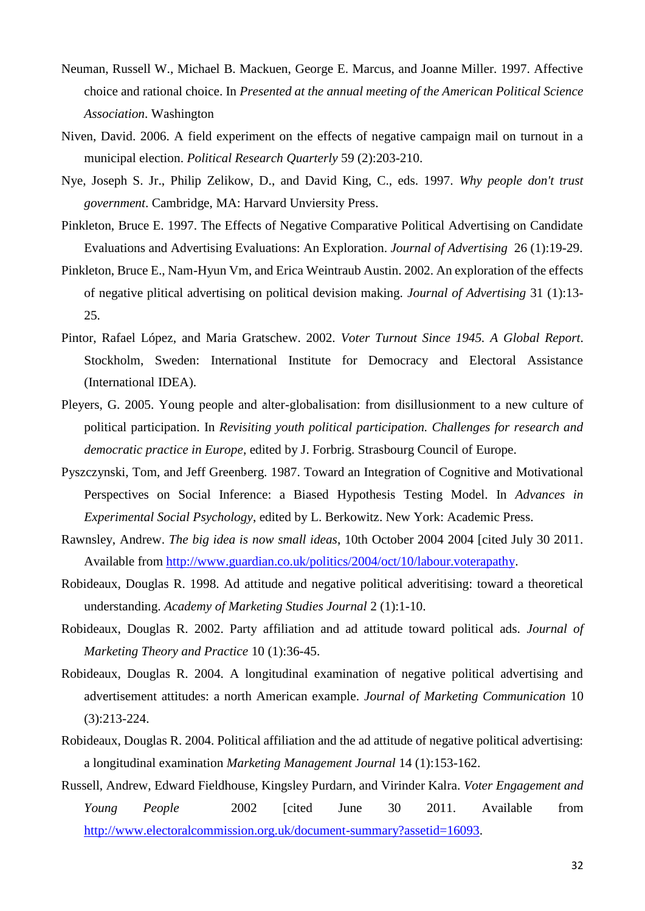- Neuman, Russell W., Michael B. Mackuen, George E. Marcus, and Joanne Miller. 1997. Affective choice and rational choice. In *Presented at the annual meeting of the American Political Science Association*. Washington
- Niven, David. 2006. A field experiment on the effects of negative campaign mail on turnout in a municipal election. *Political Research Quarterly* 59 (2):203-210.
- Nye, Joseph S. Jr., Philip Zelikow, D., and David King, C., eds. 1997. *Why people don't trust government*. Cambridge, MA: Harvard Unviersity Press.
- Pinkleton, Bruce E. 1997. The Effects of Negative Comparative Political Advertising on Candidate Evaluations and Advertising Evaluations: An Exploration. *Journal of Advertising* 26 (1):19-29.
- Pinkleton, Bruce E., Nam-Hyun Vm, and Erica Weintraub Austin. 2002. An exploration of the effects of negative plitical advertising on political devision making. *Journal of Advertising* 31 (1):13- 25.
- Pintor, Rafael López, and Maria Gratschew. 2002. *Voter Turnout Since 1945. A Global Report*. Stockholm, Sweden: International Institute for Democracy and Electoral Assistance (International IDEA).
- Pleyers, G. 2005. Young people and alter-globalisation: from disillusionment to a new culture of political participation. In *Revisiting youth political participation. Challenges for research and democratic practice in Europe*, edited by J. Forbrig. Strasbourg Council of Europe.
- Pyszczynski, Tom, and Jeff Greenberg. 1987. Toward an Integration of Cognitive and Motivational Perspectives on Social Inference: a Biased Hypothesis Testing Model. In *Advances in Experimental Social Psychology*, edited by L. Berkowitz. New York: Academic Press.
- Rawnsley, Andrew. *The big idea is now small ideas*, 10th October 2004 2004 [cited July 30 2011. Available from http://www.guardian.co.uk/politics/2004/oct/10/labour.voterapathy.
- Robideaux, Douglas R. 1998. Ad attitude and negative political adveritising: toward a theoretical understanding. *Academy of Marketing Studies Journal* 2 (1):1-10.
- Robideaux, Douglas R. 2002. Party affiliation and ad attitude toward political ads. *Journal of Marketing Theory and Practice* 10 (1):36-45.
- Robideaux, Douglas R. 2004. A longitudinal examination of negative political advertising and advertisement attitudes: a north American example. *Journal of Marketing Communication* 10 (3):213-224.
- Robideaux, Douglas R. 2004. Political affiliation and the ad attitude of negative political advertising: a longitudinal examination *Marketing Management Journal* 14 (1):153-162.
- Russell, Andrew, Edward Fieldhouse, Kingsley Purdarn, and Virinder Kalra. *Voter Engagement and Young People* 2002 [cited June 30 2011. Available from http://www.electoralcommission.org.uk/document-summary?assetid=16093.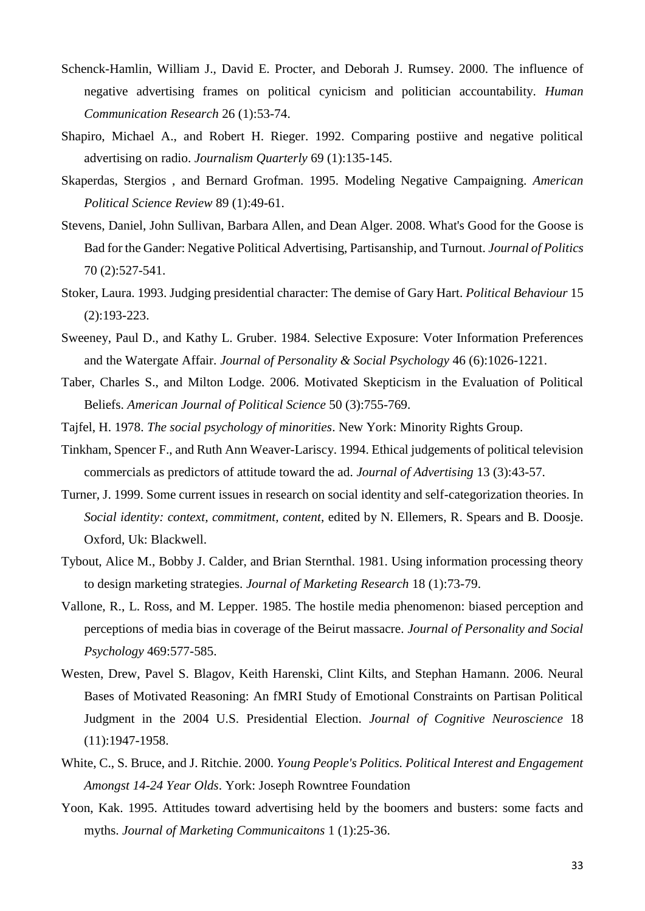- Schenck-Hamlin, William J., David E. Procter, and Deborah J. Rumsey. 2000. The influence of negative advertising frames on political cynicism and politician accountability. *Human Communication Research* 26 (1):53-74.
- Shapiro, Michael A., and Robert H. Rieger. 1992. Comparing postiive and negative political advertising on radio. *Journalism Quarterly* 69 (1):135-145.
- Skaperdas, Stergios , and Bernard Grofman. 1995. Modeling Negative Campaigning. *American Political Science Review* 89 (1):49-61.
- Stevens, Daniel, John Sullivan, Barbara Allen, and Dean Alger. 2008. What's Good for the Goose is Bad for the Gander: Negative Political Advertising, Partisanship, and Turnout. *Journal of Politics* 70 (2):527-541.
- Stoker, Laura. 1993. Judging presidential character: The demise of Gary Hart. *Political Behaviour* 15 (2):193-223.
- Sweeney, Paul D., and Kathy L. Gruber. 1984. Selective Exposure: Voter Information Preferences and the Watergate Affair. *Journal of Personality & Social Psychology* 46 (6):1026-1221.
- Taber, Charles S., and Milton Lodge. 2006. Motivated Skepticism in the Evaluation of Political Beliefs. *American Journal of Political Science* 50 (3):755-769.
- Tajfel, H. 1978. *The social psychology of minorities*. New York: Minority Rights Group.
- Tinkham, Spencer F., and Ruth Ann Weaver-Lariscy. 1994. Ethical judgements of political television commercials as predictors of attitude toward the ad. *Journal of Advertising* 13 (3):43-57.
- Turner, J. 1999. Some current issues in research on social identity and self-categorization theories. In *Social identity: context, commitment, content*, edited by N. Ellemers, R. Spears and B. Doosje. Oxford, Uk: Blackwell.
- Tybout, Alice M., Bobby J. Calder, and Brian Sternthal. 1981. Using information processing theory to design marketing strategies. *Journal of Marketing Research* 18 (1):73-79.
- Vallone, R., L. Ross, and M. Lepper. 1985. The hostile media phenomenon: biased perception and perceptions of media bias in coverage of the Beirut massacre. *Journal of Personality and Social Psychology* 469:577-585.
- Westen, Drew, Pavel S. Blagov, Keith Harenski, Clint Kilts, and Stephan Hamann. 2006. Neural Bases of Motivated Reasoning: An fMRI Study of Emotional Constraints on Partisan Political Judgment in the 2004 U.S. Presidential Election. *Journal of Cognitive Neuroscience* 18 (11):1947-1958.
- White, C., S. Bruce, and J. Ritchie. 2000. *Young People's Politics. Political Interest and Engagement Amongst 14-24 Year Olds*. York: Joseph Rowntree Foundation
- Yoon, Kak. 1995. Attitudes toward advertising held by the boomers and busters: some facts and myths. *Journal of Marketing Communicaitons* 1 (1):25-36.